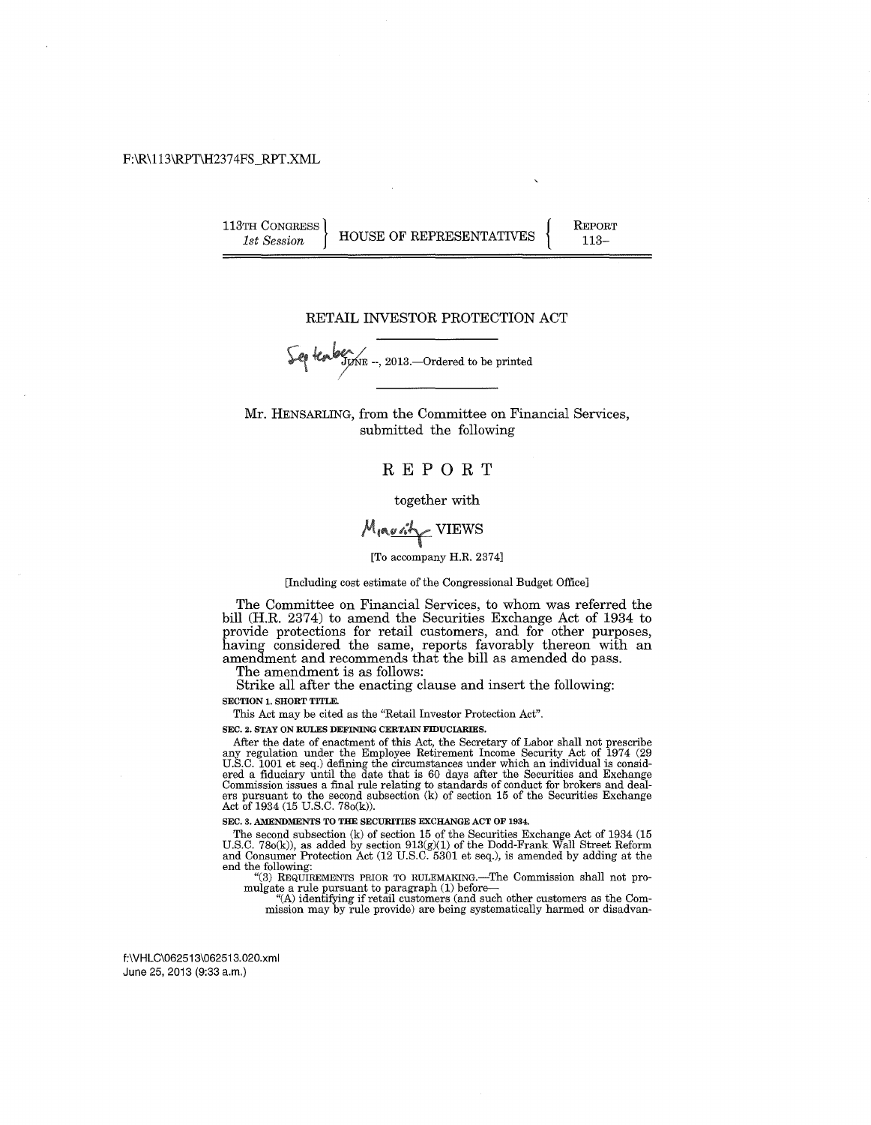#### F:\R\113\RPT\H2374FS\_RPT.XML

113TH CONGRESS **HOUSE OF REPRESENTATIVES** 

REPORT 113-

#### RETAIL INVESTOR PROTECTION ACT

 $\int$ er ten  $\frac{1}{2}$   $\int$ <sub>5</sub>  $\int$ <sub>5</sub>  $\ldots$  2013. - Ordered to be printed

Mr. HENSARLING, from the Committee on Financial Services, submitted the following

#### REPORT

together with

# MIRUSTY VIEWS

[To accompany H.R. 2374]

[Including cost estimate of the Congressional Budget Office]

The Committee on Financial Services, to whom was referred the bill (H.R. 2374) to amend the Securities Exchange Act of 1934 to provide protections for retail customers, and for other purposes, having considered the same, reports favorably thereon with an amendment and recommends that the bill as amended do pass.

The amendment is as follows:

Strike all after the enacting clause and insert the following: SECTION 1. SHORT TITLE.

This Act may be cited as the "Retail Investor Protection Act".

SEC. 2. STAY ON RULES DEFINING CERTAIN FIDUCIARIES.

After the date of enactment of this Act, the Secretary of Labor shall not prescribe any regulation under the Employee Retirement Income Security Act of 1974 (29 U.S.C. 1001 et seq.) defining the circumstances under which an individual is considered a fiduciary until the date that is 60 days after the Secu Commission issues a final rule relating to standards of conduct for brokers and deal-<br>ers pursuant to the second subsection (k) of section 15 of the Securities Exchange<br>Act of 1934 (15 U.S.C. 78o(k)).

SEC. 3. AMENDMENTS TO THE SECURITIES EXCHANGE ACT OF 1934.

The second subsection (k) of section 15 of the Securities Exchange Act of 1934 (15 U.S.C. 780(k)), as added by section  $913(g)(1)$  of the Dodd-Frank Wall Street Reform and Consumer Protection Act (12 U.S.C. 5301 et seq.), i end the following:

"(3) REQUIREMENTS PRIOR TO RULEMAKING.-The Commission shall not promulgate a rule pursuant to paragraph (1) before-

"(A) identifYing if retail customers (and such other customers as the Commission may by rule provide) are being systematically harmed or disadvan-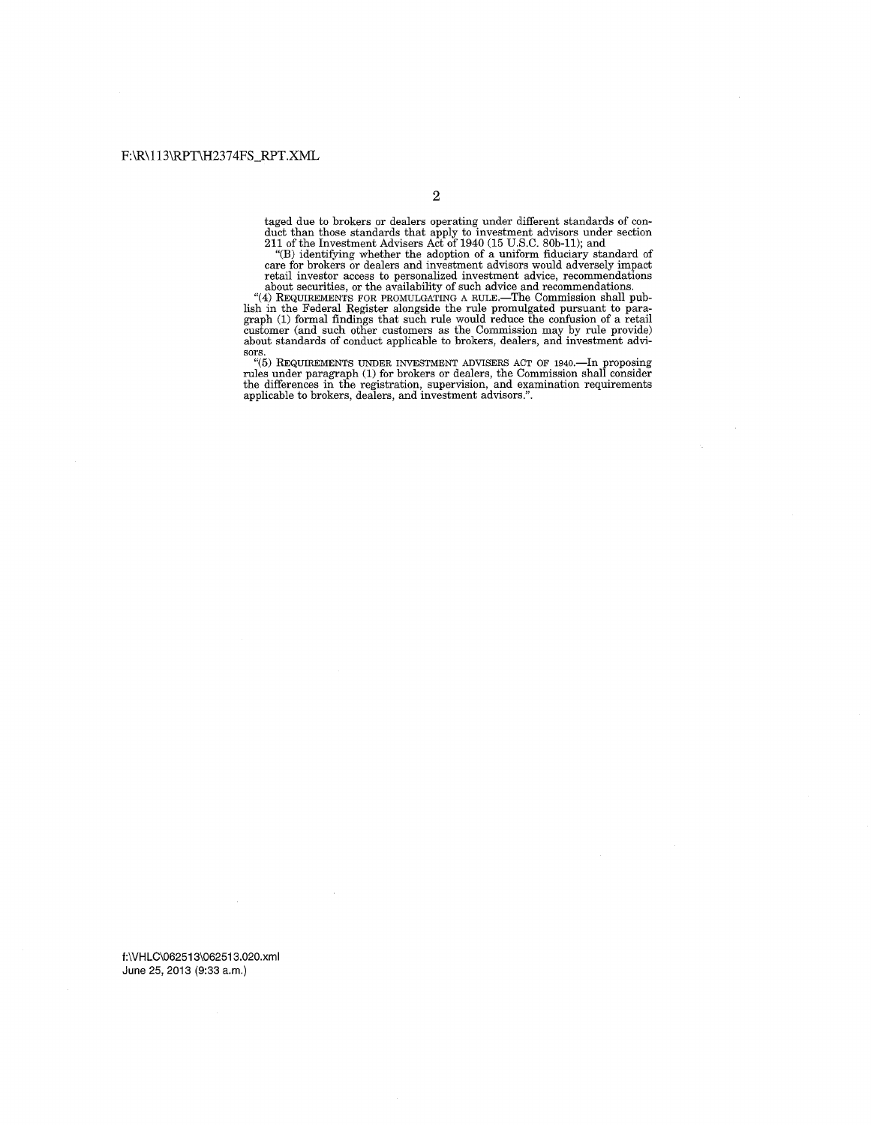taged due to brokers or dealers operating under different standards of con- duct than those standards that apply to investment advisors under section 211 of the Investment Advisers Act of 1940 (15 U.S.C. SOb-11); and

"(B) identifying whether the adoption of a uniform fiduciary standard of care for brokers or dealers and investment advisors would adversely impact retail investor access to personalized investment advice, recommendations

sors.<br>
"(5) REQUIREMENTS UNDER INVESTMENT ADVISERS ACT OF 1940.—In proposing<br>
rules under paragraph (1) for brokers or dealers, the Commission shall consider<br>
the differences in the registration, supervision, and examinati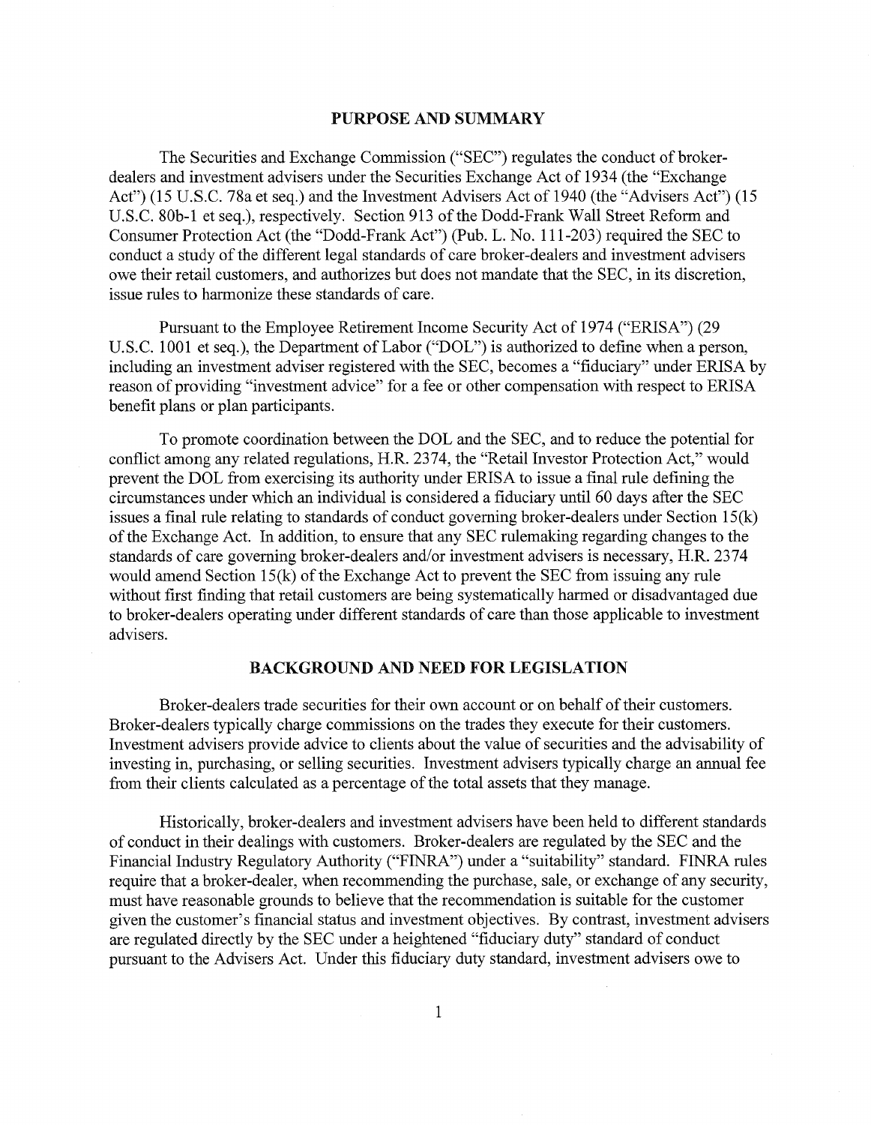## PURPOSE AND SUMMARY

The Securities and Exchange Commission ("SEC") regulates the conduct of brokerdealers and investment advisers under the Securities Exchange Act of 1934 (the "Exchange Act") (15 U.S.C. 78a et seq.) and the Investment Advisers Act of 1940 (the "Advisers Act") (15 U.S.C. 80b-1 et seq.), respectively. Section 913 of the Dodd-Frank Wall Street Reform and Consumer Protection Act (the "Dodd-Frank Act") (Pub. L. No. 111-203) required the SEC to conduct a study of the different legal standards of care broker-dealers and investment advisers owe their retail customers, and authorizes but does not mandate that the SEC, in its discretion, issue rules to harmonize these standards of care.

Pursuant to the Employee Retirement Income Security Act of 1974 ("ERISA") (29 U.S.C. 1001 et seq.), the Department of Labor ("DOL") is authorized to define when a person, including an investment adviser registered with the SEC, becomes a "fiduciary" under ERISA by reason of providing "investment advice" for a fee or other compensation with respect to ERISA benefit plans or plan participants.

To promote coordination between the DOL and the SEC, and to reduce the potential for conflict among any related regulations, H.R. 2374, the "Retail Investor Protection Act," would prevent the DOL from exercising its authority under ERISA to issue a final rule defining the circumstances under which an individual is considered a fiduciary until 60 days after the SEC issues a final rule relating to standards of conduct governing broker-dealers under Section 15(k) of the Exchange Act. In addition, to ensure that any SEC rulemaking regarding changes to the standards of care governing broker-dealers and/or investment advisers is necessary, H.R. 2374 would amend Section 15(k) of the Exchange Act to prevent the SEC from issuing any rule without first finding that retail customers are being systematically harmed or disadvantaged due to broker-dealers operating under different standards of care than those applicable to investment advisers.

# BACKGROUND AND NEED FOR LEGISLATION

Broker-dealers trade securities for their own account or on behalf of their customers. Broker-dealers typically charge commissions on the trades they execute for their customers. Investment advisers provide advice to clients about the value of securities and the advisability of investing in, purchasing, or selling securities. Investment advisers typically charge an annual fee from their clients calculated as a percentage of the total assets that they manage.

Historically, broker-dealers and investment advisers have been held to different standards of conduct in their dealings with customers. Broker-dealers are regulated by the SEC and the Financial Industry Regulatory Authority ("FINRA") under a "suitability" standard. FINRA rules require that a broker-dealer, when recommending the purchase, sale, or exchange of any security, must have reasonable grounds to believe that the recommendation is suitable for the customer given the customer's financial status and investment objectives. By contrast, investment advisers are regulated directly by the SEC under a heightened "fiduciary duty" standard of conduct pursuant to the Advisers Act. Under this fiduciary duty standard, investment advisers owe to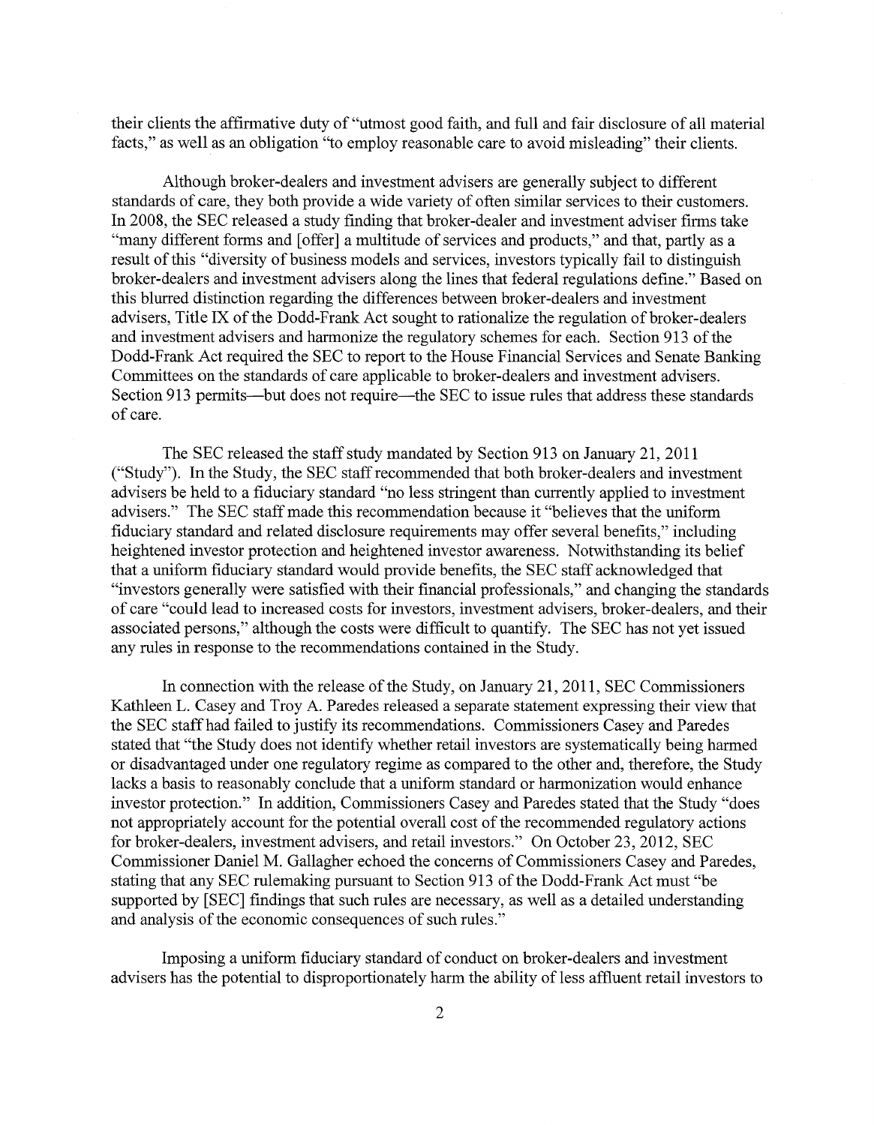their clients the affirmative duty of "utmost good faith, and full and fair disclosure of all material facts," as well as an obligation ''to employ reasonable care to avoid misleading" their clients.

Although broker-dealers and investment advisers are generally subject to different standards of care, they both provide a wide variety of often similar services to their customers. In 2008, the SEC released a study finding that broker-dealer and investment adviser firms take "many different forms and [offer] a multitude of services and products," and that, partly as a result of this "diversity of business models and services, investors typically fail to distinguish broker-dealers and investment advisers along the lines that federal regulations define." Based on this blurred distinction regarding the differences between broker-dealers and investment advisers, Title IX of the Dodd-Frank Act sought to rationalize the regulation of broker-dealers and investment advisers and harmonize the regulatory schemes for each. Section 913 of the Dodd-Frank Act required the SEC to report to the House Financial Services and Senate Banking Committees on the standards of care applicable to broker-dealers and investment advisers. Section 913 permits—but does not require—the SEC to issue rules that address these standards of care.

The SEC released the staff study mandated by Section 913 on January 21, 2011 ("Study"). In the Study, the SEC staff recommended that both broker-dealers and investment advisers be held to a fiduciary standard "no less stringent than currently applied to investment advisers." The SEC staff made this recommendation because it "believes that the uniform fiduciary standard and related disclosure requirements may offer several benefits," including heightened investor protection and heightened investor awareness. Notwithstanding its belief that a uniform fiduciary standard would provide benefits, the SEC staff acknowledged that "investors generally were satisfied with their financial professionals," and changing the standards of care "could lead to increased costs for investors, investment advisers, broker-dealers, and their associated persons," although the costs were difficult to quantify. The SEC has not yet issued any rules in response to the recommendations contained in the Study.

In connection with the release of the Study, on January 21, 2011, SEC Commissioners Kathleen L. Casey and Troy A. Paredes released a separate statement expressing their view that the SEC staff had failed to justify its recommendations. Commissioners Casey and Paredes stated that "the Study does not identify whether retail investors are systematically being harmed or disadvantaged under one regulatory regime as compared to the other and, therefore, the Study lacks a basis to reasonably conclude that a uniform standard or harmonization would enhance investor protection." In addition, Commissioners Casey and Paredes stated that the Study "does not appropriately account for the potential overall cost of the recommended regulatory actions for broker-dealers, investment advisers, and retail investors." On October 23, 2012, SEC Commissioner Daniel M. Gallagher echoed the concerns of Commissioners Casey and Paredes, stating that any SEC rulemaking pursuant to Section 913 of the Dodd-Frank Act must "be supported by [SEC] findings that such rules are necessary, as well as a detailed understanding and analysis of the economic consequences of such rules."

Imposing a uniform fiduciary standard of conduct on broker-dealers and investment advisers has the potential to disproportionately harm the ability of less affluent retail investors to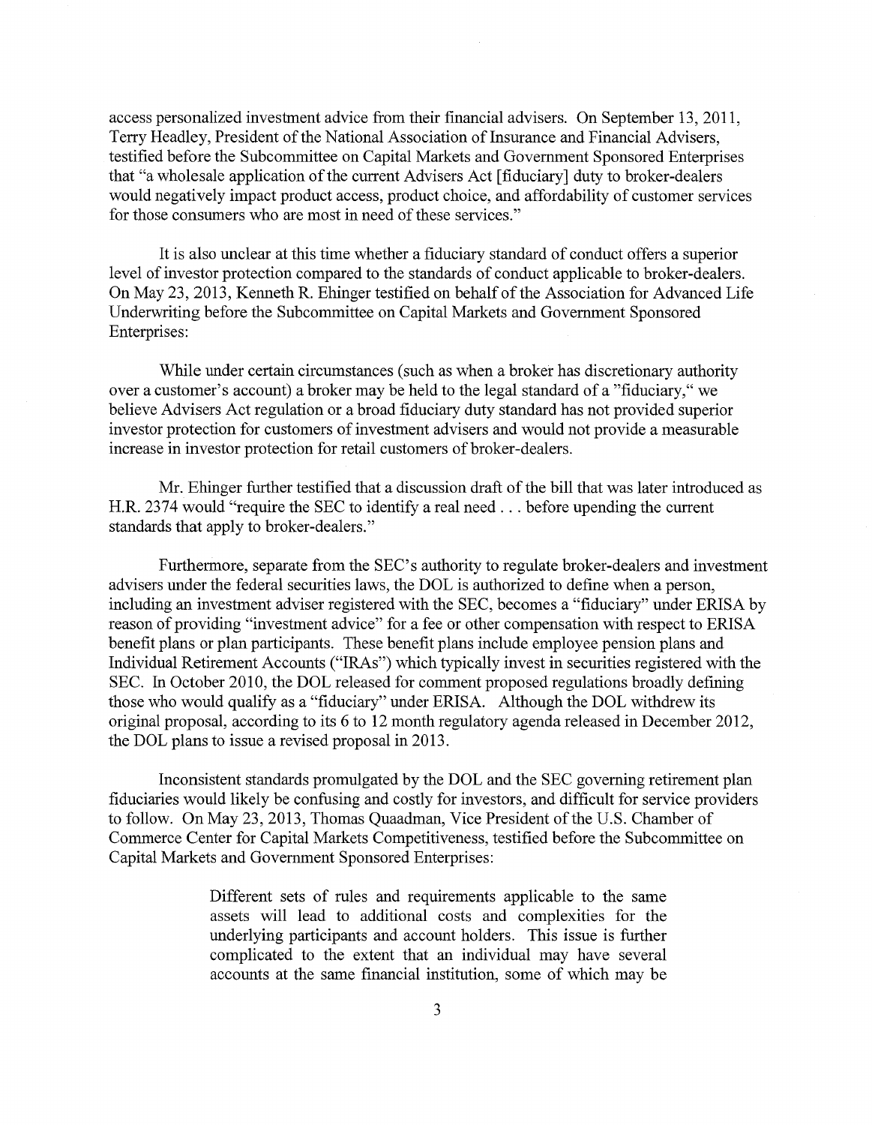access personalized investment advice from their financial advisers. On September 13, 2011, Terry Headley, President of the National Association of Insurance and Financial Advisers, testified before the Subcommittee on Capital Markets and Government Sponsored Enterprises that "a wholesale application of the current Advisers Act [fiduciary] duty to broker-dealers would negatively impact product access, product choice, and affordability of customer services for those consumers who are most in need of these services."

It is also unclear at this time whether a fiduciary standard of conduct offers a superior level of investor protection compared to the standards of conduct applicable to broker-dealers. On May 23, 2013, Kenneth R. Ehinger testified on behalf of the Association for Advanced Life Underwriting before the Subcommittee on Capital Markets and Government Sponsored Enterprises:

While under certain circumstances (such as when a broker has discretionary authority over a customer's account) a broker may be held to the legal standard of a "fiduciary," we believe Advisers Act regulation or a broad fiduciary duty standard has not provided superior investor protection for customers of investment advisers and would not provide a measurable increase in investor protection for retail customers of broker-dealers.

Mr. Ehinger further testified that a discussion draft of the bill that was later introduced as H.R. 2374 would "require the SEC to identify a real need . . . before upending the current standards that apply to broker-dealers."

Furthermore, separate from the SEC's authority to regulate broker-dealers and investment advisers under the federal securities laws, the DOL is authorized to define when a person, including an investment adviser registered with the SEC, becomes a "fiduciary" under ERISA by reason of providing "investment advice" for a fee or other compensation with respect to ERISA benefit plans or plan participants. These benefit plans include employee pension plans and Individual Retirement Accounts ("IRAs") which typically invest in securities registered with the SEC. In October 2010, the DOL released for comment proposed regulations broadly defining those who would qualify as a "fiduciary" under ERISA. Although the DOL withdrew its original proposal, according to its 6 to 12 month regulatory agenda released in December 2012, the DOL plans to issue a revised proposal in 2013.

Inconsistent standards promulgated by the DOL and the SEC governing retirement plan fiduciaries would likely be confusing and costly for investors, and difficult for service providers to follow. On May 23,2013, Thomas Quaadman, Vice President of the U.S. Chamber of Commerce Center for Capital Markets Competitiveness, testified before the Subcommittee on Capital Markets and Government Sponsored Enterprises:

> Different sets of rules and requirements applicable to the same assets will lead to additional costs and complexities for the underlying participants and account holders. This issue is further complicated to the extent that an individual may have several accounts at the same financial institution, some of which may be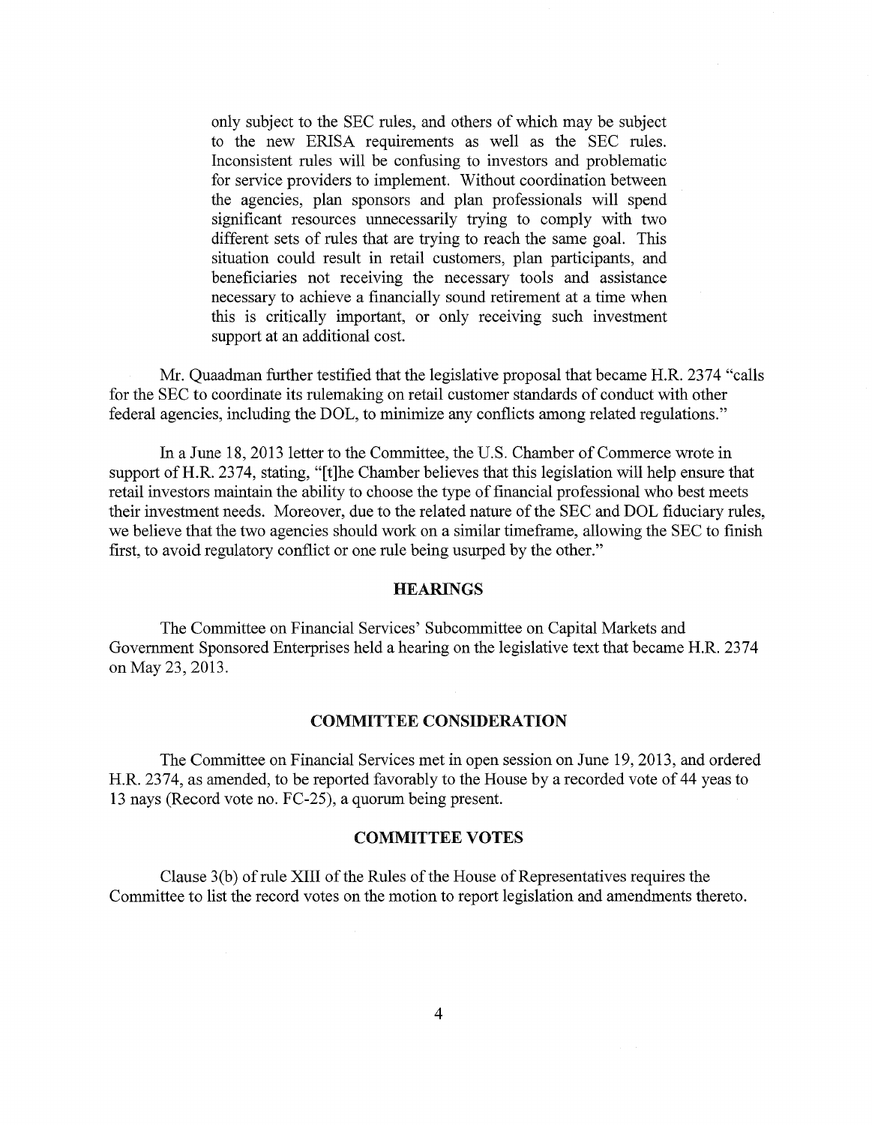only subject to the SEC rules, and others of which may be subject to the new ERISA requirements as well as the SEC rules. Inconsistent rules will be confusing to investors and problematic for service providers to implement. Without coordination between the agencies, plan sponsors and plan professionals will spend significant resources unnecessarily trying to comply with two different sets of rules that are trying to reach the same goal. This situation could result in retail customers, plan participants, and beneficiaries not receiving the necessary tools and assistance necessary to achieve a financially sound retirement at a time when this is critically important, or only receiving such investment support at an additional cost.

Mr. Quaadman further testified that the legislative proposal that became H.R. 2374 "calls for the SEC to coordinate its rulemaking on retail customer standards of conduct with other federal agencies, including the DOL, to minimize any conflicts among related regulations."

In a June 18, 2013 letter to the Committee, the U.S. Chamber of Commerce wrote in support of H.R. 2374, stating, "[t]he Chamber believes that this legislation will help ensure that retail investors maintain the ability to choose the type of financial professional who best meets their investment needs. Moreover, due to the related nature of the SEC and DOL fiduciary rules, we believe that the two agencies should work on a similar timeframe, allowing the SEC to finish first, to avoid regulatory conflict or one rule being usurped by the other."

# **HEARINGS**

The Committee on Financial Services' Subcommittee on Capital Markets and Government Sponsored Enterprises held a hearing on the legislative text that became H.R. 2374 on May 23,2013.

## COMMITTEE CONSIDERATION

The Committee on Financial Services met in open session on June 19, 2013, and ordered H.R. 2374, as amended, to be reported favorably to the House by a recorded vote of 44 yeas to 13 nays (Record vote no. FC-25), a quorum being present.

## COMMITTEE VOTES

Clause  $3(b)$  of rule XIII of the Rules of the House of Representatives requires the Committee to list the record votes on the motion to report legislation and amendments thereto.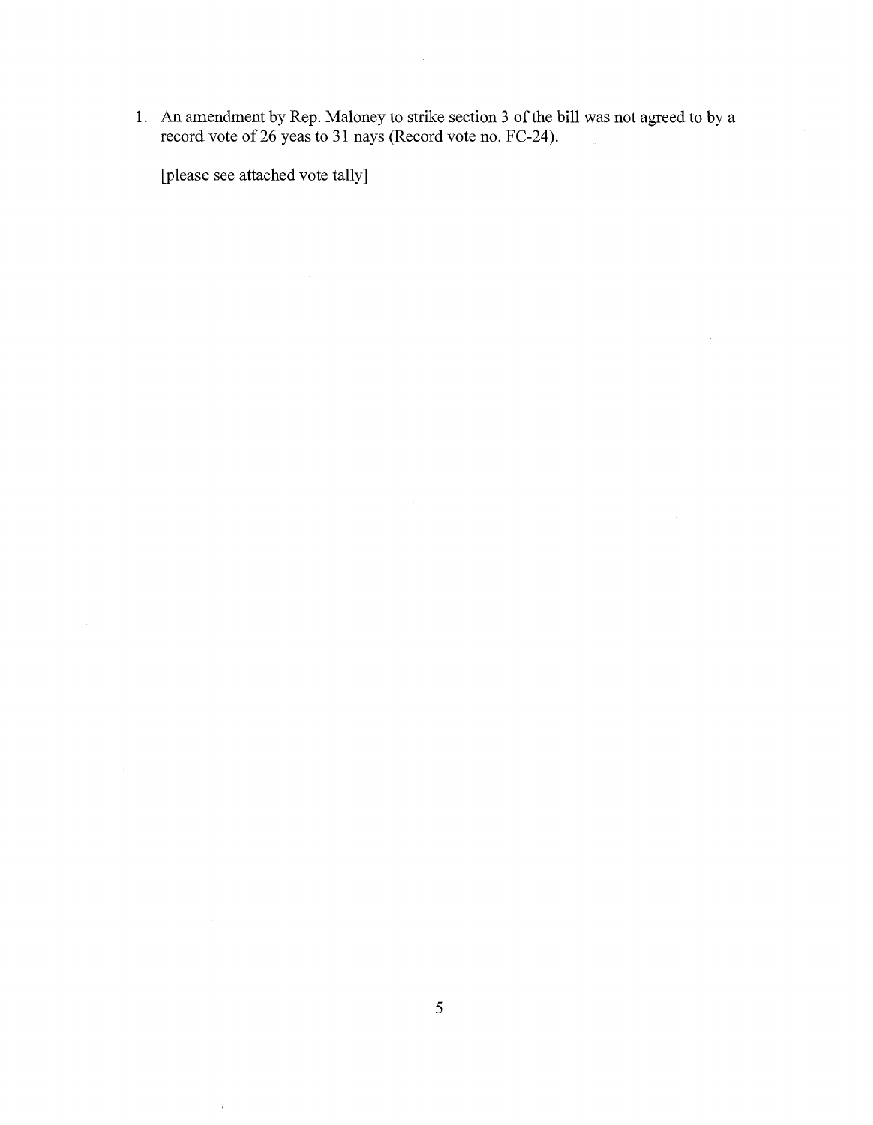1. An amendment by Rep. Maloney to strike section 3 of the bill was not agreed to by a record vote of26 yeas to 31 nays (Record vote no. FC-24).

[please see attached vote tally]

 $\sim$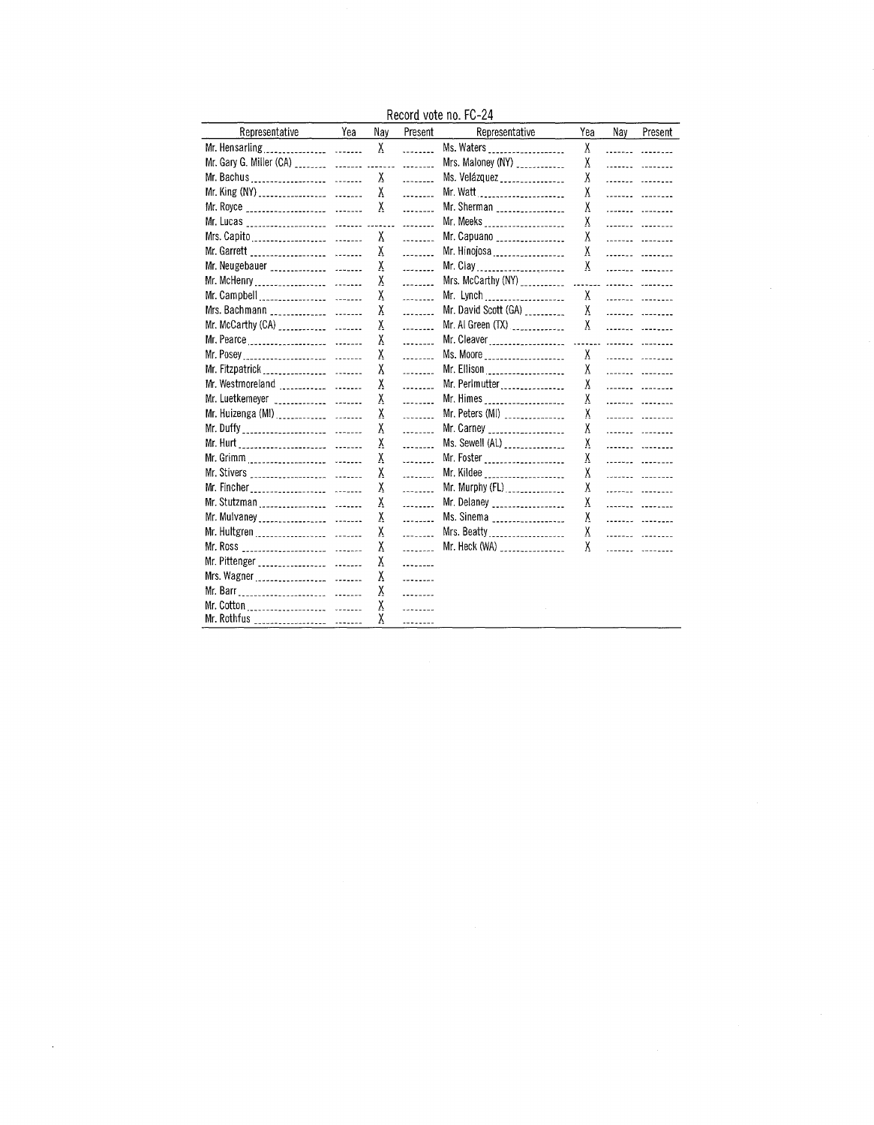Record vote no. FC-24

| Representative                                  | Yea | Nay      | Present                | Representative                      | Yea | Nay | Present                        |
|-------------------------------------------------|-----|----------|------------------------|-------------------------------------|-----|-----|--------------------------------|
|                                                 |     | χ        | .                      | Ms. Waters ___________________      | X   |     | .                              |
|                                                 |     |          | .                      | Mrs. Maloney (NY) ____________      | X   |     |                                |
|                                                 |     | χ        | $\frac{1}{2}$          | Ms. Velázquez ________________      | χ   |     |                                |
|                                                 |     | χ        | $\frac{1}{2}$          | Mr. Watt                            | χ   |     | ------- -------                |
|                                                 |     | χ        | $1222 - 1222$          | Mr. Sherman                         | X   |     | <b>Sanger Community</b>        |
| Mr. Lucas _____________________ ________ ______ |     |          | $\frac{1}{2}$          | Mr. Meeks _____________________     | X   |     | <u> 111118au - 111118au -</u>  |
|                                                 |     | χ        | .                      | Mr. Capuano _________________       | X   |     | <u>Separator Separator</u>     |
| Mr. Garrett ____________________ ________       |     | χ        | .                      | Mr. Hinojosa                        | χ   |     |                                |
| Mr. Neugebauer                                  |     | X        | and the                | Mr. Clay                            | χ   |     |                                |
|                                                 |     | χ        | .                      | Mrs. McCarthy $(NY)$                |     |     | ----- ------- --------         |
|                                                 |     | X        | <b>College College</b> | Mr. Lynch                           | χ   |     | .                              |
|                                                 |     | X.       | .                      | Mr. David Scott (GA) __________     | χ   |     | <b></b>                        |
|                                                 |     | X.       | .                      | Mr. Al Green (TX)                   | χ   |     | .                              |
|                                                 |     | X        | .                      |                                     |     |     |                                |
|                                                 |     | X.       | <u>ili</u> ku          | Ms. Moore _____________________     | Χ   |     | and discussion and the second  |
|                                                 |     | X        | $\overline{a}$         | Mr. Ellison                         | X   |     | <u> 1111111 - 111111111</u>    |
| Mr. Westmoreland                                |     | X        | .                      | Mr. Perlmutter                      | X   |     | ------- -------                |
| Mr. Luetkemeyer                                 |     | X,       |                        | Mr. Himes _____________________     | X   |     |                                |
| Mr. Huizenga (MI)                               |     | X        | $\frac{1}{2}$          | Mr. Peters (MI) _______________     | X   |     |                                |
|                                                 |     | X        | $\frac{1}{2}$          | Mr. Carney <b>continued and Mr.</b> | X   |     | <u> 1111111 - 111111111</u>    |
|                                                 |     | X        | . <b>.</b>             | Ms. Sewell (AL) _______________     | X   |     | .                              |
|                                                 |     | X        | .                      | Mr. Foster _____________________    | χ   |     | <u> 11111111 - 1111</u> - 1111 |
|                                                 |     | X.       | .                      | Mr. Kildee ____________________     | X   |     |                                |
|                                                 |     | X.       | .                      |                                     | X   |     |                                |
|                                                 |     | χ        | .                      | Mr. Delaney __________________      | X   |     |                                |
|                                                 |     | <u>y</u> | .                      | Ms. Sinema ___________________      | X.  |     | .                              |
|                                                 |     | <u>y</u> | .                      | Mrs. Beatty                         | χ   |     | .                              |
|                                                 |     | X        | ala di S               | Mr. Heck $(WA)$                     | χ   |     | and de la companyable          |
| Mr. Pittenger __________________ ________       |     | Ÿ        | .                      |                                     |     |     |                                |
|                                                 |     | X        | .                      |                                     |     |     |                                |
|                                                 |     | χ        | .                      |                                     |     |     |                                |
|                                                 |     | χ        | .                      |                                     |     |     |                                |
| Mr. Rothfus ___________________ _______         |     | χ        |                        |                                     |     |     |                                |

 $\sim$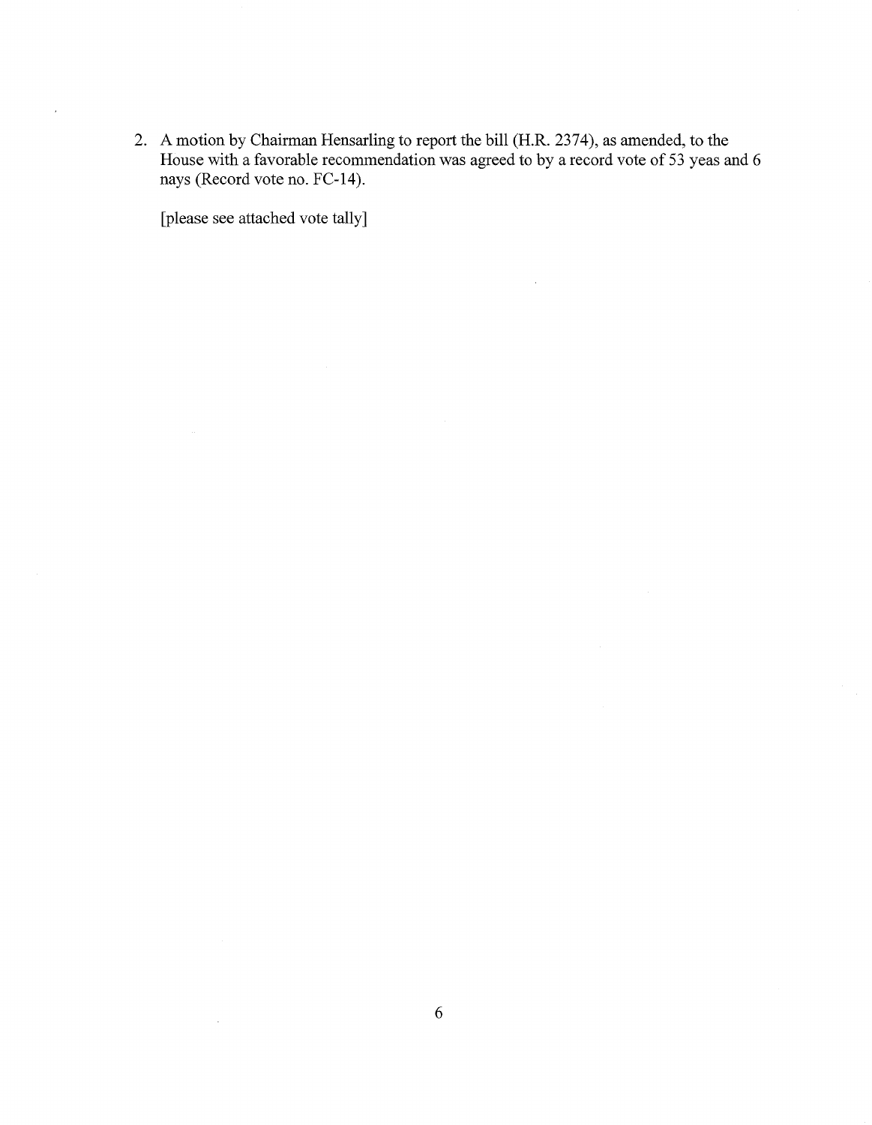2. A motion by Chairman Hensarling to report the bill (H.R. 2374), as amended, to the House with a favorable recommendation was agreed to by a record vote of 53 yeas and 6 nays (Record vote no. FC-14).

 $\bar{z}$ 

[please see attached vote tally]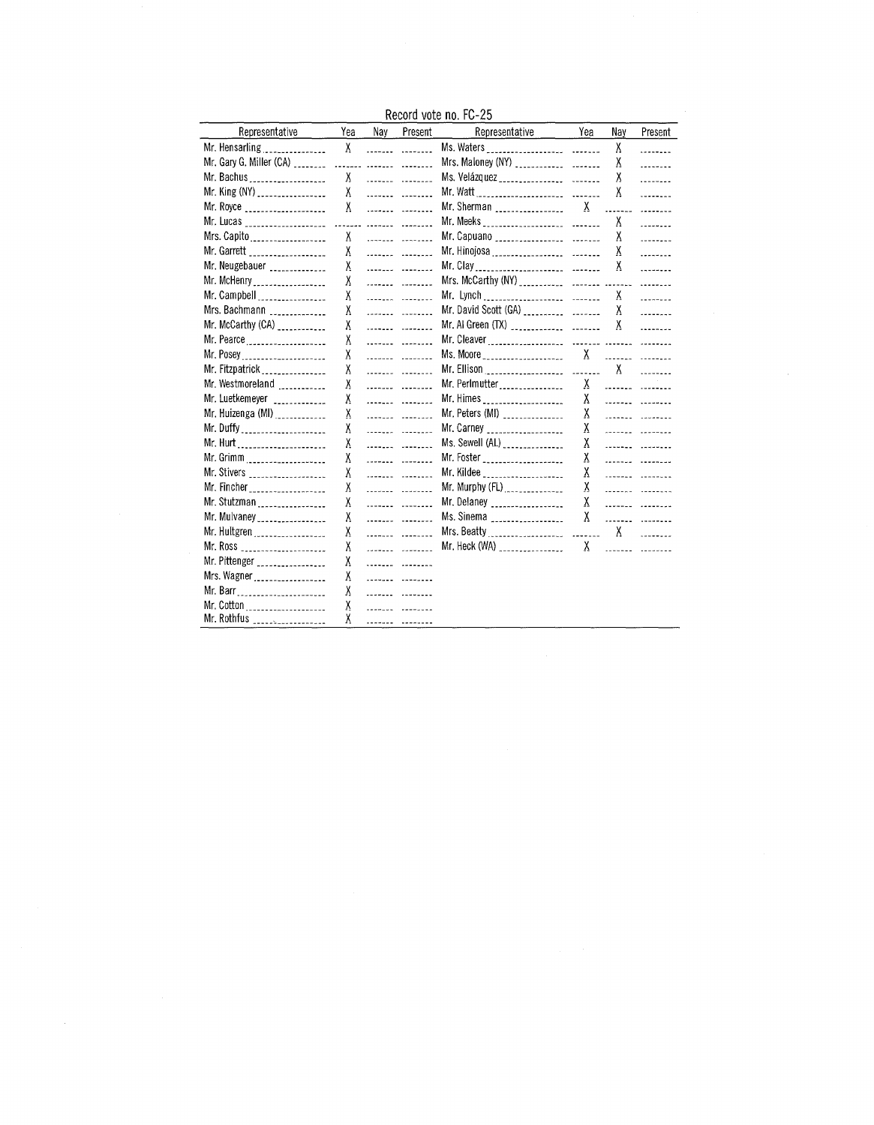Record vote no. FC-25

| Representative                            | Yea | Nav | Present                   | Representative                                                                                                                                                                                                                                                                                        | Yea          | Nav                      | Present         |
|-------------------------------------------|-----|-----|---------------------------|-------------------------------------------------------------------------------------------------------------------------------------------------------------------------------------------------------------------------------------------------------------------------------------------------------|--------------|--------------------------|-----------------|
| Mr. Hensarling                            | X   |     | ------- --------          |                                                                                                                                                                                                                                                                                                       |              | Χ                        | .               |
| Mr. Gary G. Miller (CA) _________ _______ |     |     |                           |                                                                                                                                                                                                                                                                                                       |              | χ                        | <u>.</u>        |
| Mr. Bachus                                | X   |     |                           |                                                                                                                                                                                                                                                                                                       |              | χ                        |                 |
| Mr. King (NY) __________________          |     |     | X                         |                                                                                                                                                                                                                                                                                                       |              | Χ                        |                 |
| Mr. Royce ____________________            |     |     | X                         | Mr. Sherman __________________                                                                                                                                                                                                                                                                        | $\mathsf{X}$ | $\overline{\phantom{a}}$ | $12222 - 22$    |
|                                           |     |     |                           |                                                                                                                                                                                                                                                                                                       |              | X                        | $1 - 1 - 1 - 1$ |
| Mrs. Capito                               | X.  |     | ------- -------           |                                                                                                                                                                                                                                                                                                       |              | X                        |                 |
| Mr. Garrett ____________________          | X   |     |                           |                                                                                                                                                                                                                                                                                                       |              | χ                        | <b>Secondal</b> |
| Mr. Neugebauer ______________             | χ   |     | $\cdots$                  |                                                                                                                                                                                                                                                                                                       |              | Χ                        | $\ddotsc$       |
| Mr. McHenry __________________            | χ   |     |                           |                                                                                                                                                                                                                                                                                                       |              |                          |                 |
| Mr. Campbell                              | χ   |     | .                         |                                                                                                                                                                                                                                                                                                       |              | X                        | <u>.</u>        |
| Mrs. Bachmann                             | Χ   |     |                           |                                                                                                                                                                                                                                                                                                       |              | X                        | $\frac{1}{2}$   |
| Mr. McCarthy (CA) ____________            | X.  |     | ------- --------          | Mr. Al Green $(TX)$                                                                                                                                                                                                                                                                                   |              | X                        | 1.1.1.1.1.1     |
| Mr. Pearce                                | χ   |     | <u>.</u>                  |                                                                                                                                                                                                                                                                                                       |              |                          |                 |
| Mr. Posey                                 | χ   |     | <u>.</u>                  |                                                                                                                                                                                                                                                                                                       |              |                          |                 |
| Mr. Fitzpatrick                           | χ   |     |                           | Mr. Ellison $\frac{1}{2}$ = $\frac{1}{2}$ = $\frac{1}{2}$ = $\frac{1}{2}$ = $\frac{1}{2}$ = $\frac{1}{2}$ = $\frac{1}{2}$ = $\frac{1}{2}$ = $\frac{1}{2}$ = $\frac{1}{2}$ = $\frac{1}{2}$ = $\frac{1}{2}$ = $\frac{1}{2}$ = $\frac{1}{2}$ = $\frac{1}{2}$ = $\frac{1}{2}$ = $\frac{1}{2}$ = $\frac{1$ |              |                          |                 |
| Mr. Westmoreland                          | χ   |     |                           | Mr. Perlmutter                                                                                                                                                                                                                                                                                        | X.           |                          |                 |
| Mr. Luetkemeyer ____________              | Χ   |     | .                         | Mr. Himes _____________________                                                                                                                                                                                                                                                                       | X.           |                          |                 |
| Mr. Huizenga (MI)                         | χ   |     | .                         | Mr. Peters (MI) _______________                                                                                                                                                                                                                                                                       | X.           |                          |                 |
| Mr. Duffy ______________________          | χ   |     |                           | Mr. Carney ___________________                                                                                                                                                                                                                                                                        | Χ            |                          |                 |
| Mr. Hurt                                  | χ   |     |                           | Ms. Sewell (AL) _______________                                                                                                                                                                                                                                                                       | Χ            |                          |                 |
| Mr. Grimm                                 | Χ   |     | ------- --------          | Mr. Foster                                                                                                                                                                                                                                                                                            | χ            |                          |                 |
| Mr. Stivers ___________________           | Χ   |     |                           | Mr. Kildee ____________________                                                                                                                                                                                                                                                                       | Χ            |                          | $\frac{1}{2}$   |
| Mr. Fincher <sub>contract</sub>           | Χ   |     | ------- --------          | Mr. Murphy (FL)                                                                                                                                                                                                                                                                                       | X.           |                          | .               |
| Mr. Stutzman                              | χ   |     | --- <b>-</b> --- -------- | Mr. Delaney __________________                                                                                                                                                                                                                                                                        | X            |                          |                 |
| Mr. Mulvaney __________________           | χ   |     |                           | Ms. Sinema <sub>------------------</sub>                                                                                                                                                                                                                                                              | X            |                          |                 |
| Mr. Hultgren                              | χ   |     |                           |                                                                                                                                                                                                                                                                                                       |              |                          |                 |
| Mr. Ross ______________________           | X   |     |                           | Mr. Heck (WA) ________________                                                                                                                                                                                                                                                                        |              |                          |                 |
| Mr. Pittenger _________________           | χ   |     | .                         |                                                                                                                                                                                                                                                                                                       |              |                          |                 |
| Mrs. Wagner                               | Χ   |     | ------- ------ <b>-</b>   |                                                                                                                                                                                                                                                                                                       |              |                          |                 |
| Mr. Barr _______________________          | χ   |     |                           |                                                                                                                                                                                                                                                                                                       |              |                          |                 |
| Mr. Cotton                                | Χ   |     | ------- -------           |                                                                                                                                                                                                                                                                                                       |              |                          |                 |
| Mr. Rothfus __________________            | χ   |     |                           |                                                                                                                                                                                                                                                                                                       |              |                          |                 |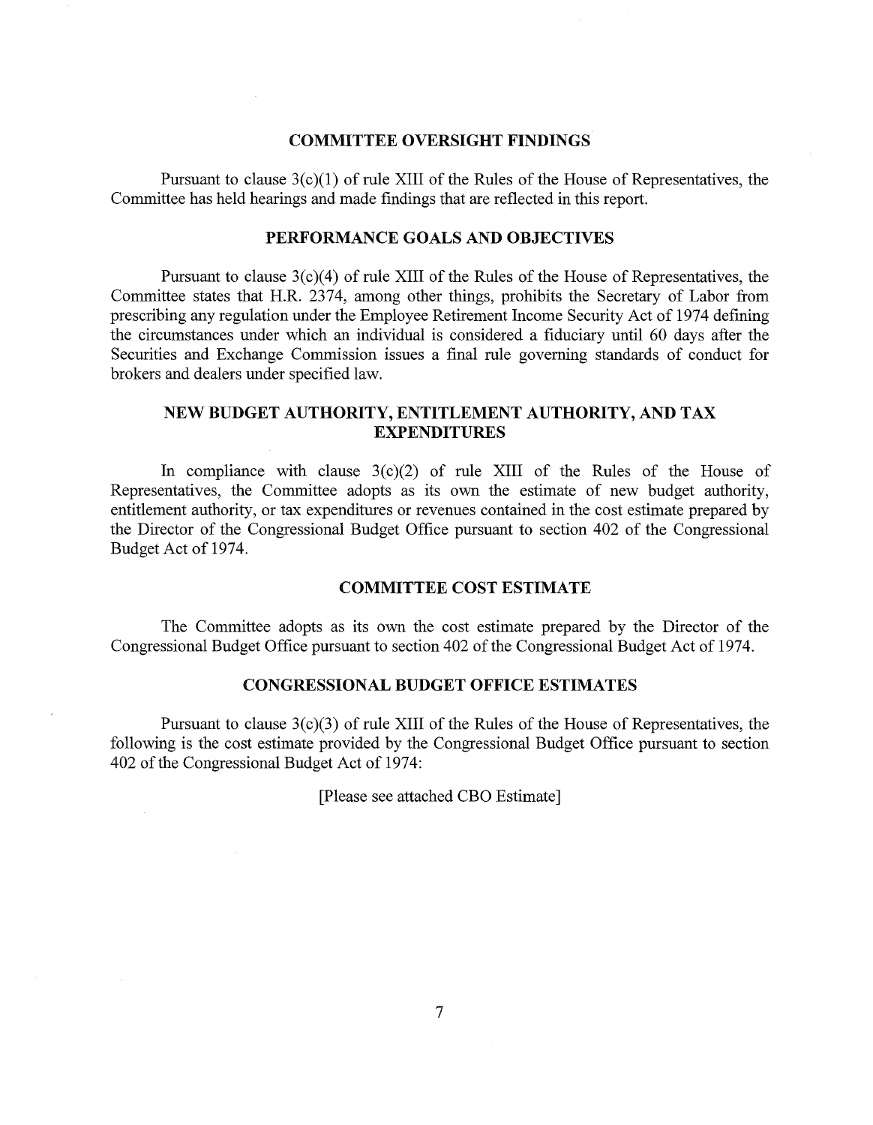## COMMITTEE OVERSIGHT FINDINGS

Pursuant to clause  $3(c)(1)$  of rule XIII of the Rules of the House of Representatives, the Committee has held hearings and made findings that are reflected in this report.

# PERFORMANCE GOALS AND OBJECTIVES

Pursuant to clause  $3(c)(4)$  of rule XIII of the Rules of the House of Representatives, the Committee states that H.R. 2374, among other things, prohibits the Secretary of Labor from prescribing any regulation under the Employee Retirement Income Security Act of 1974 defining the circumstances under which an individual is considered a fiduciary until 60 days after the Securities and Exchange Commission issues a final rule governing standards of conduct for brokers and dealers under specified law.

# NEW BUDGET AUTHORITY, ENTITLEMENT AUTHORITY, AND TAX EXPENDITURES

In compliance with clause  $3(c)(2)$  of rule XIII of the Rules of the House of Representatives, the Committee adopts as its own the estimate of new budget authority, entitlement authority, or tax expenditures or revenues contained in the cost estimate prepared by the Director of the Congressional Budget Office pursuant to section 402 of the Congressional Budget Act of 1974.

# COMMITTEE COST ESTIMATE

The Committee adopts as its own the cost estimate prepared by the Director of the Congressional Budget Office pursuant to section 402 of the Congressional Budget Act of 1974.

# CONGRESSIONAL BUDGET OFFICE ESTIMATES

Pursuant to clause  $3(c)(3)$  of rule XIII of the Rules of the House of Representatives, the following is the cost estimate provided by the Congressional Budget Office pursuant to section 402 of the Congressional Budget Act of 1974:

[Please see attached CBO Estimate]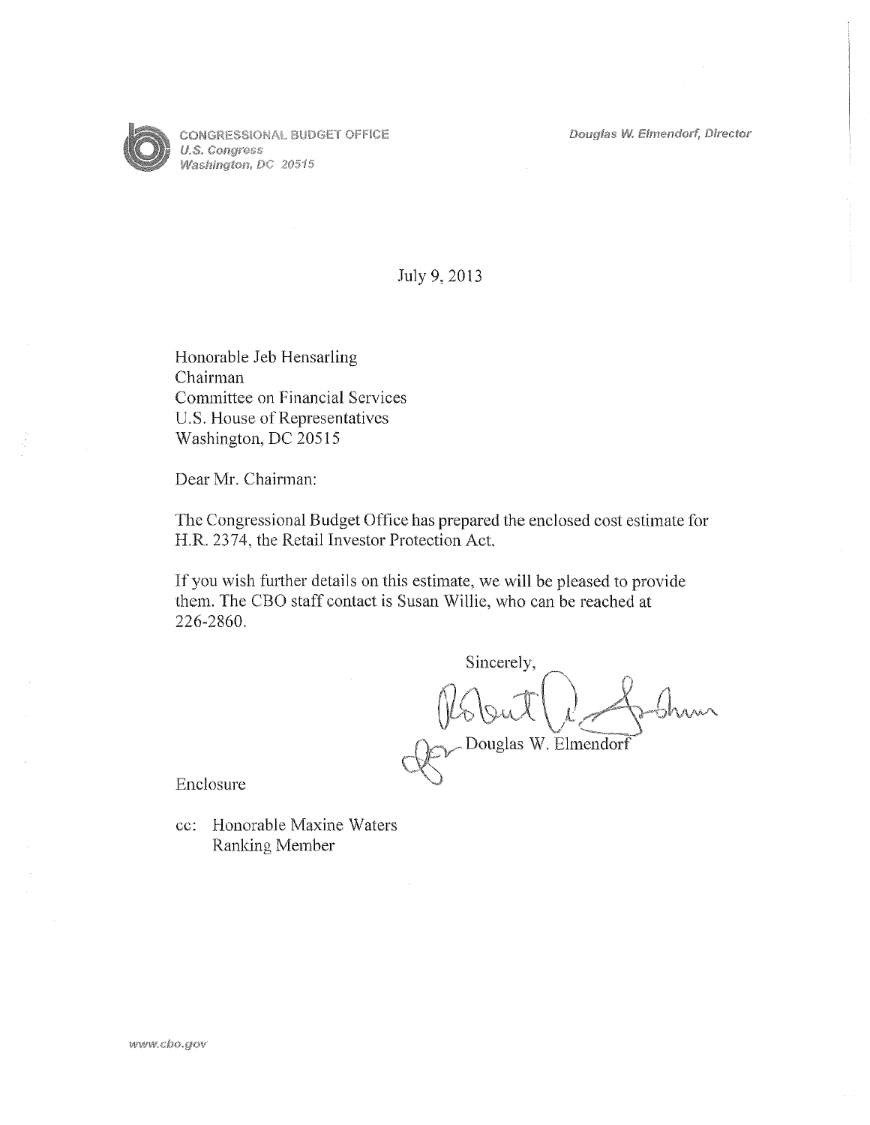Douglas W. Elmendorf, Director



**CONGRESSIONAL BUDGET OFFICE** U.S. Congress Washington, DC 20515

# July 9, 2013

Honorable Jeb Hensarling Chairman Committee on Financial Services U.S. House of Representatives Washington, DC 20515

Dear Mr. Chairman:

The Congressional Budget Office has prepared the enclosed cost estimate for H.R. 2374, the Retail Investor Protection Act.

If you wish further details on this estimate, we will be pleased to provide them. The CBO staff contact is Susan Willie, who can be reached at 226-2860.

Sincerely,  $~\sigma$ Douglas W. Elmendorf

Enclosure

cc: Honorable Maxine Waters Ranking Member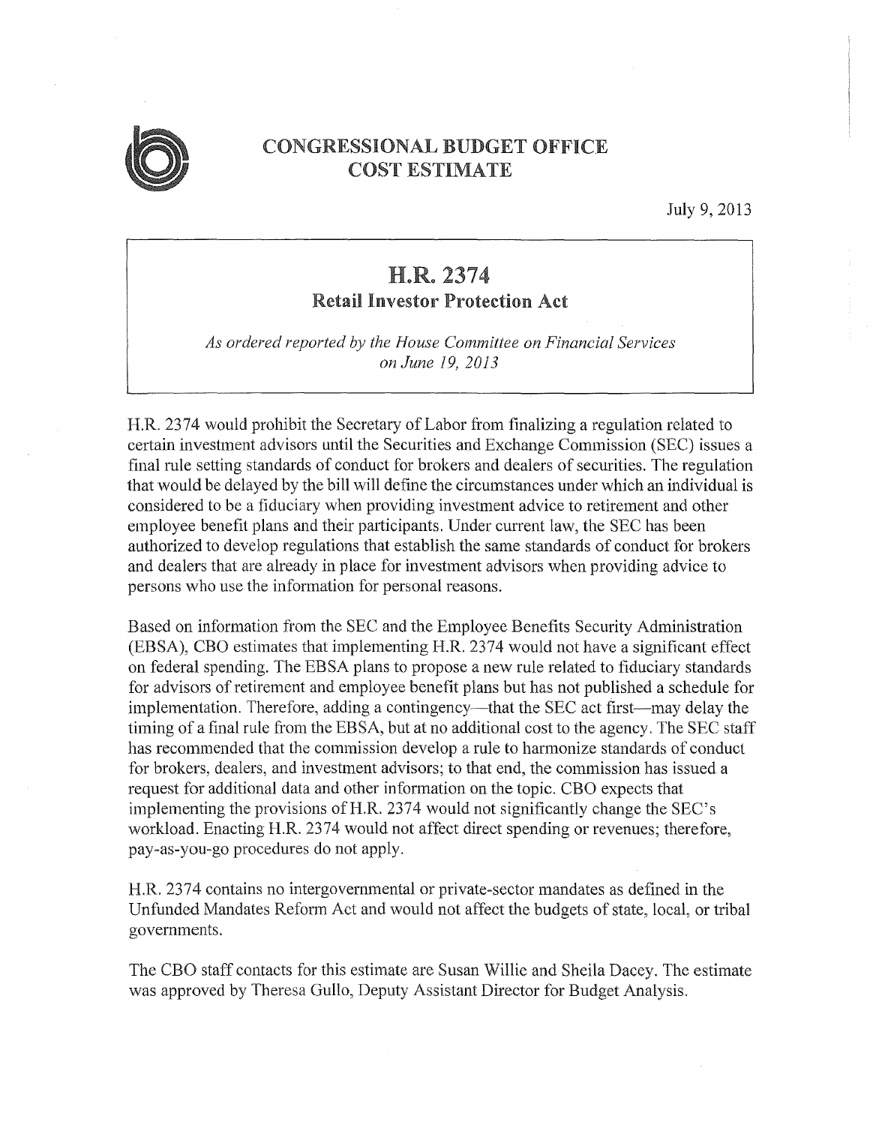

# CONGRESSIONAL BUDGET OFFICE COST ESTIMATE

July 9, 2013

# H.R. 2374 Retail Investor Protection Act

*As ordered reported by the House Committee on Financial Services on June 19, 2013* 

H.R. 2374 would prohibit the Secretary of Labor from finalizing a regulation related to certain investment advisors until the Securities and Exchange Commission (SEC) issues a final rule setting standards of conduct for brokers and dealers of securities. The regulation that would be delayed by the bill will define the circumstances under which an individual is considered to be a fiduciary when providing investment advice to retirement and other employee benefit plans and their participants. Under current law, the SEC has been authorized to develop regulations that establish the same standards of conduct for brokers and dealers that are already in place for investment advisors when providing advice to persons who use the infonnation for personal reasons.

Based on information from the SEC and the Employee Benefits Security Administration (EBSA), CBO estimates that implementing H.R. 2374 would not have a significant effect on federal spending. The EBSA plans to propose a new rule related to fiduciary standards for advisors of retirement and employee benefit plans but has not published a schedule for implementation. Therefore, adding a contingency—that the SEC act first—may delay the timing of a final rule from the EBSA, but at no additional cost to the agency. The SEC staff has recommended that the commission develop a rule to harmonize standards of conduct for brokers, dealers, and investment advisors; to that end, the commission has issued a request for additional data and other information on the topic. CBO expects that implementing the provisions of H.R. 2374 would not significantly change the SEC's workload. Enacting H.R. 2374 would not affect direct spending or revenues; therefore, pay-as-you-go procedures do not apply.

H.R. 2374 contains no intergovernmental or private-sector mandates as defined in the Unfunded Mandates Reform Act and would not affect the budgets of state, local, or tribal governments.

The CBO staff contacts for this estimate are Susan Willie and Sheila Dacey. The estimate was approved by Theresa Gullo, Deputy Assistant Director for Budget Analysis.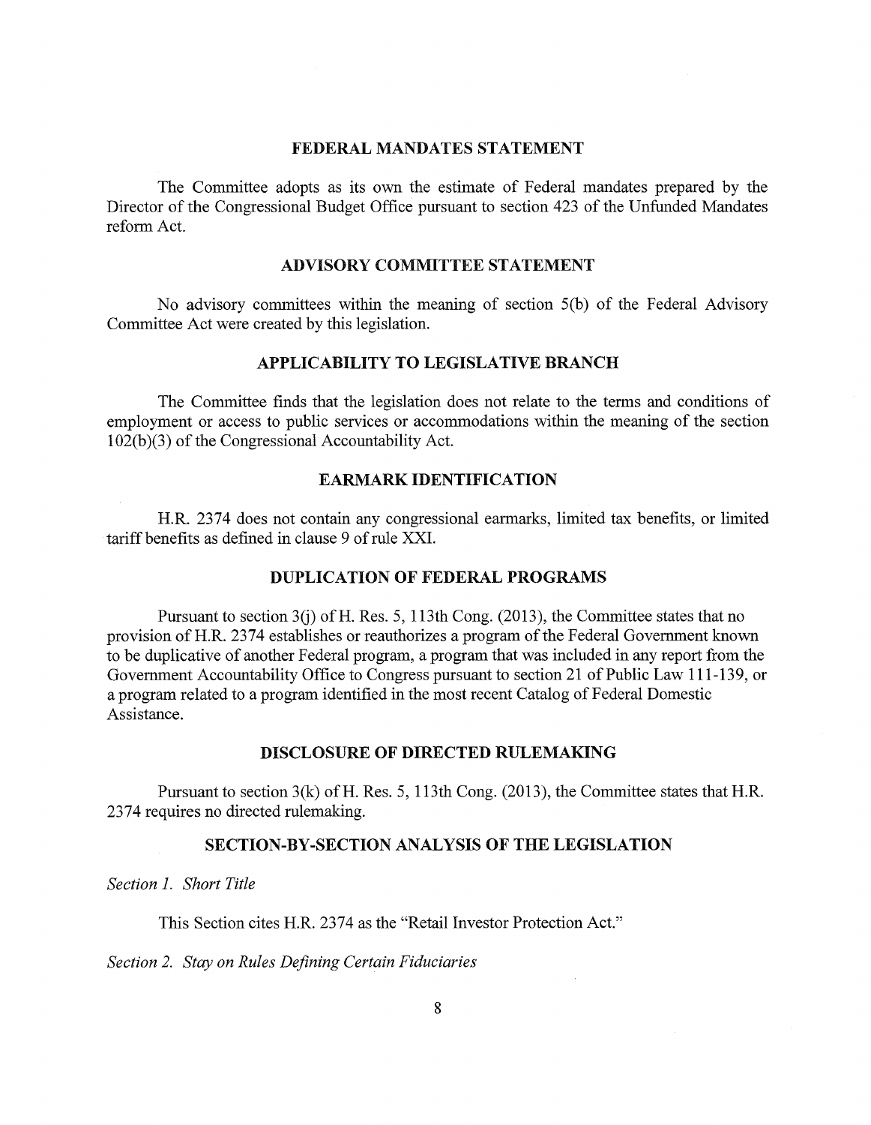# FEDERAL MANDATES STATEMENT

The Committee adopts as its own the estimate of Federal mandates prepared by the Director of the Congressional Budget Office pursuant to section 423 of the Unfunded Mandates reform Act.

## ADVISORY COMMITTEE STATEMENT

No advisory committees within the meaning of section 5(b) of the Federal Advisory Committee Act were created by this legislation.

# APPLICABILITY TO LEGISLATIVE BRANCH

The Committee finds that the legislation does not relate to the terms and conditions of employment or access to public services or accommodations within the meaning of the section 1 02(b )(3) of the Congressional Accountability Act.

# EARMARK IDENTIFICATION

H.R. 2374 does not contain any congressional earmarks, limited tax benefits, or limited tariff benefits as defined in clause 9 of rule XXI.

# DUPLICATION OF FEDERAL PROGRAMS

Pursuant to section  $3(j)$  of H. Res. 5, 113th Cong. (2013), the Committee states that no provision of H.R. 2374 establishes or reauthorizes a program of the Federal Government known to be duplicative of another Federal program, a program that was included in any report from the Government Accountability Office to Congress pursuant to section 21 of Public Law 111-139, or a program related to a program identified in the most recent Catalog of Federal Domestic Assistance.

# DISCLOSURE OF DIRECTED RULEMAKING

Pursuant to section 3(k) of H. Res. 5, 113th Cong. (2013), the Committee states that H.R. 2374 requires no directed rulemaking.

# SECTION-BY-SECTION ANALYSIS OF THE LEGISLATION

*Section 1. Short Title* 

This Section cites H.R. 2374 as the "Retail Investor Protection Act."

*Section 2. Stay on Rules Defining Certain Fiduciaries*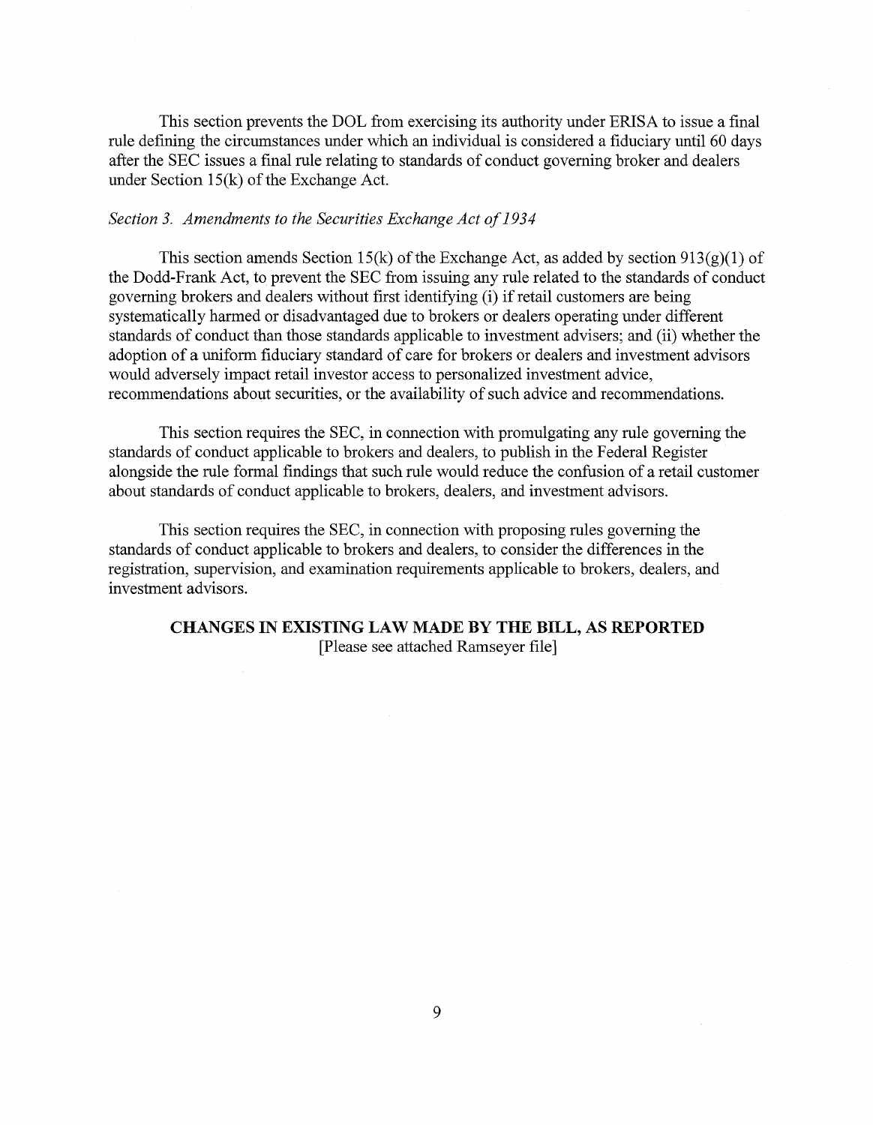This section prevents the DOL from exercising its authority under ERISA to issue a final rule defining the circumstances under which an individual is considered a fiduciary until 60 days after the SEC issues a final rule relating to standards of conduct governing broker and dealers under Section 15(k) of the Exchange Act.

## *Section 3. Amendments to the Securities Exchange Act of 1934*

This section amends Section 15(k) of the Exchange Act, as added by section  $913(g)(1)$  of the Dodd-Frank Act, to prevent the SEC from issuing any rule related to the standards of conduct governing brokers and dealers without first identifying (i) if retail customers are being systematically harmed or disadvantaged due to brokers or dealers operating under different standards of conduct than those standards applicable to investment advisers; and (ii) whether the adoption of a uniform fiduciary standard of care for brokers or dealers and investment advisors would adversely impact retail investor access to personalized investment advice, recommendations about securities, or the availability of such advice and recommendations.

This section requires the SEC, in connection with promulgating any rule governing the standards of conduct applicable to brokers and dealers, to publish in the Federal Register alongside the rule formal findings that such rule would reduce the confusion of a retail customer about standards of conduct applicable to brokers, dealers, and investment advisors.

This section requires the SEC, in connection with proposing rules governing the standards of conduct applicable to brokers and dealers, to consider the differences in the registration, supervision, and examination requirements applicable to brokers, dealers, and investment advisors.

# CHANGES IN EXISTING LAW MADE BY THE BILL, AS **REPORTED**  [Please see attached Ramseyer file]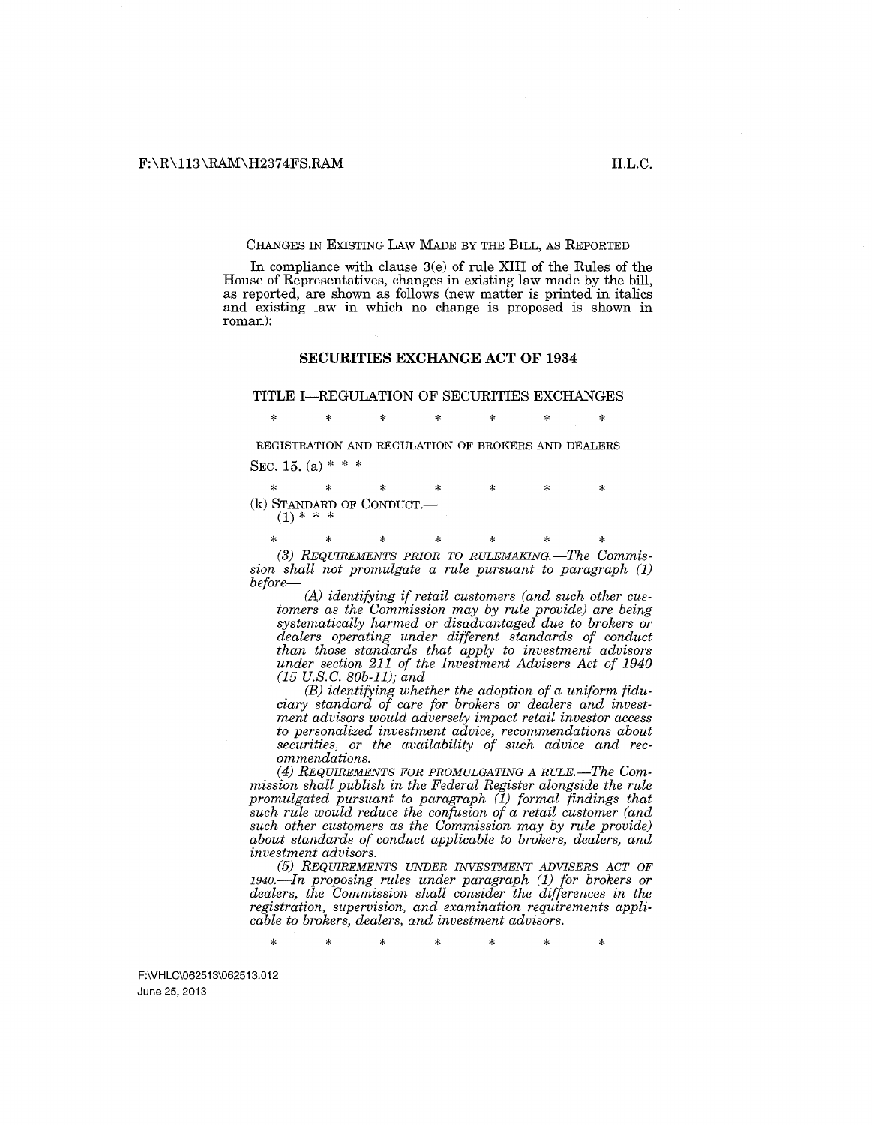#### CHANGES IN EXISTING LAW MADE BY THE BILL, AS REPORTED

In compliance with clause 3(e) of rule XIII of the Rules of the House of Representatives, changes in existing law made by the bill, as reported, are shown as follows (new matter is printed in italics and existing law in which no change is proposed is shown in roman):

#### **SECURITIES EXCHANGE ACT OF 1934**

#### **TITLE** I-REGULATION OF SECURITIES EXCHANGES

\* \* \* \* \* \* \*

REGISTRATION AND REGULATION OF BROKERS AND DEALERS SEC. 15. (a)  $* * *$ 

\* \* \* \* \* \* \* (k) STANDARD OF CONDUCT.- **(1)** \* \* \*

(3) REQUIREMENTS PRIOR TO RULEMAKING.-The Commis*sion shall not promulgate a rule pursuant to paragraph (1) before-*

*(A) identifying if retail customers (and such other customers as the Commission may by rule provide) are being systematically harmed or disadvantaged due to brokers or dealers operating under different standards of conduct than those standards that apply to investment advisors under section 211 of the Investment Advisers Act of 1940 (15 U.S.C. BOb-11); and* 

(B) *identifying whether the adoption of a uniform fiduciary standard of care for brokers or dealers and investment advisors would adversely impact retail investor access to personalized investment advice, recommendations about securities, or the availability of such advice and recommendations.* 

*(4) REQUIREMENTS FOR PROMULGATING A RULE.-The Commission shall publish in the Federal Register alongside the rule promulgated pursuant to paragraph (1) formal findings that such rule would reduce the confusion of a retail customer (and such other customers as the Commission may by rule provide) about standards of conduct applicable to brokers, dealers, and investment advisors.* 

*(5) REQUIREMENTS UNDER INVESTMENT ADVISERS ACT OF 1940.-In proposing rules under paragraph (1) for brokers or dealers, the Commission shall consider the differences in the registration, supervision, and examination requirements applicable to brokers, dealers, and investment advisors.* 

\* \* \* \* \* \* \*

F:\VHLC\062513\062513.012 June 25, 2013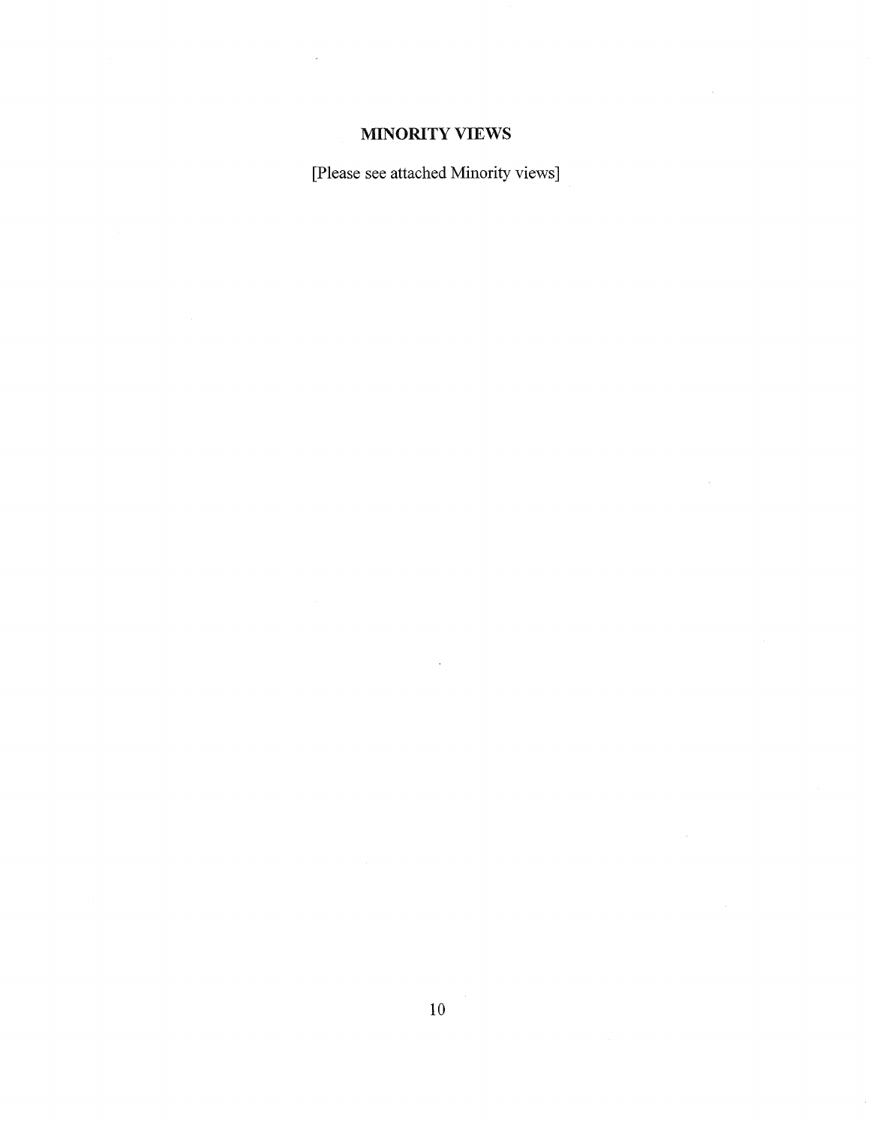# MINORITY VIEWS

[Please see attached Minority views]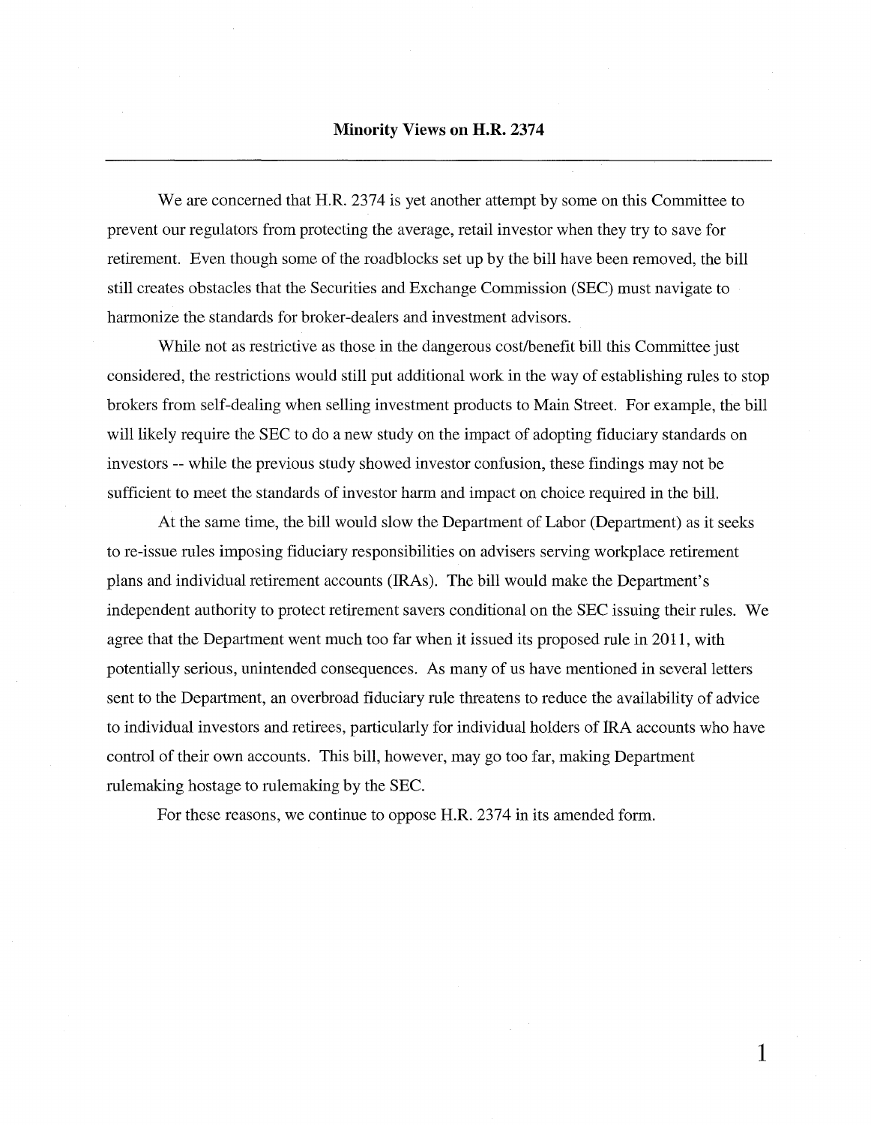We are concerned that H.R. 2374 is yet another attempt by some on this Committee to prevent our regulators from protecting the average, retail investor when they try to save for retirement. Even though some of the roadblocks set up by the bill have been removed, the bill still creates obstacles that the Securities and Exchange Commission (SEC) must navigate to harmonize the standards for broker-dealers and investment advisors.

While not as restrictive as those in the dangerous cost/benefit bill this Committee just considered, the restrictions would still put additional work in the way of establishing rules to stop brokers from self-dealing when selling investment products to Main Street. For example, the bill will likely require the SEC to do a new study on the impact of adopting fiduciary standards on investors -- while the previous study showed investor confusion, these findings may not be sufficient to meet the standards of investor harm and impact on choice required in the bill.

At the same time, the bill would slow the Department of Labor (Department) as it seeks to re-issue rules imposing fiduciary responsibilities on advisers serving workplace retirement plans and individual retirement accounts (IRAs). The bill would make the Department's independent authority to protect retirement savers conditional on the SEC issuing their rules. We agree that the Department went much too far when it issued its proposed rule in 2011, with potentially serious, unintended consequences. As many of us have mentioned in several letters sent to the Department, an overbroad fiduciary rule threatens to reduce the availability of advice to individual investors and retirees, particularly for individual holders of IRA accounts who have control of their own accounts. This bill, however, may go too far, making Department rulemaking hostage to rulemaking by the SEC.

For these reasons, we continue to oppose H.R. 2374 in its amended form.

**1**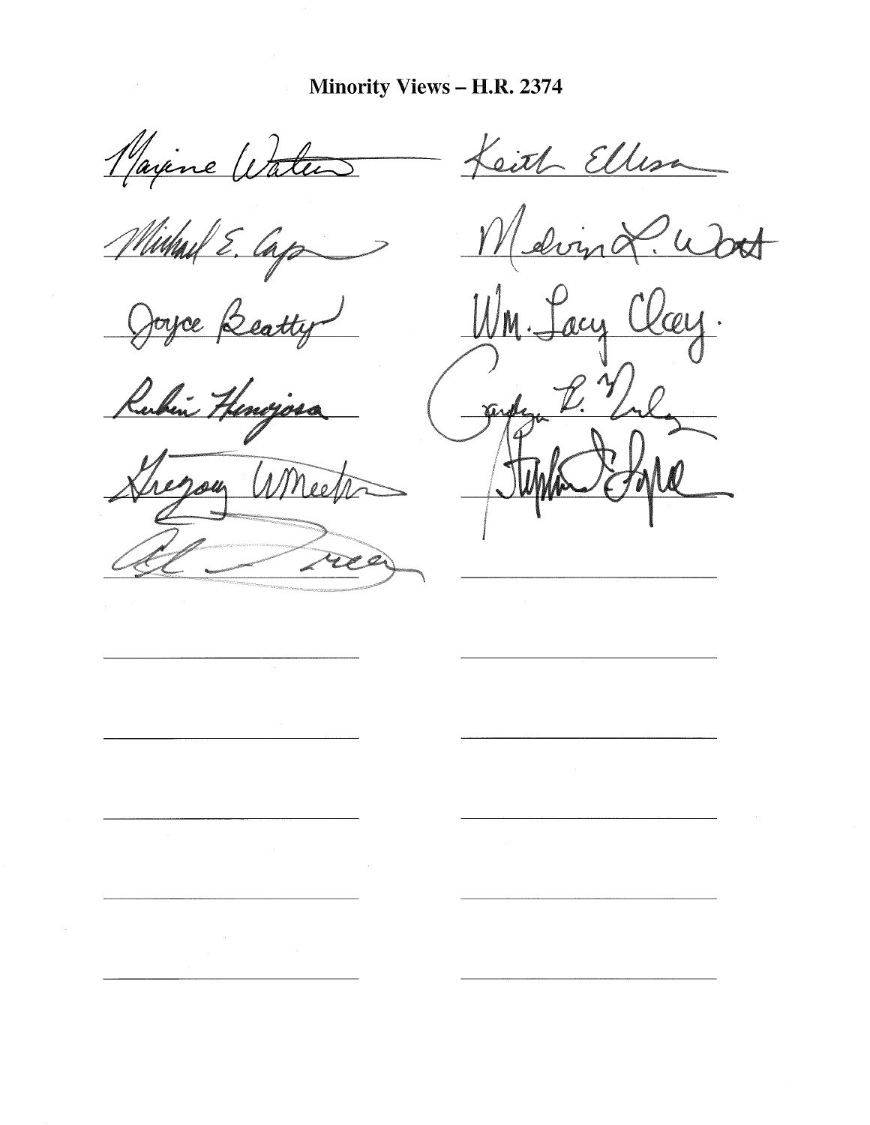Majene Water

Michael E. Cap

Joyce Beatty

Rubin Henojosa

Whee

cith Ellesa

ding &. W

 $'$ QU . <u>WM.</u> acy  $\not\!\!D$ profeso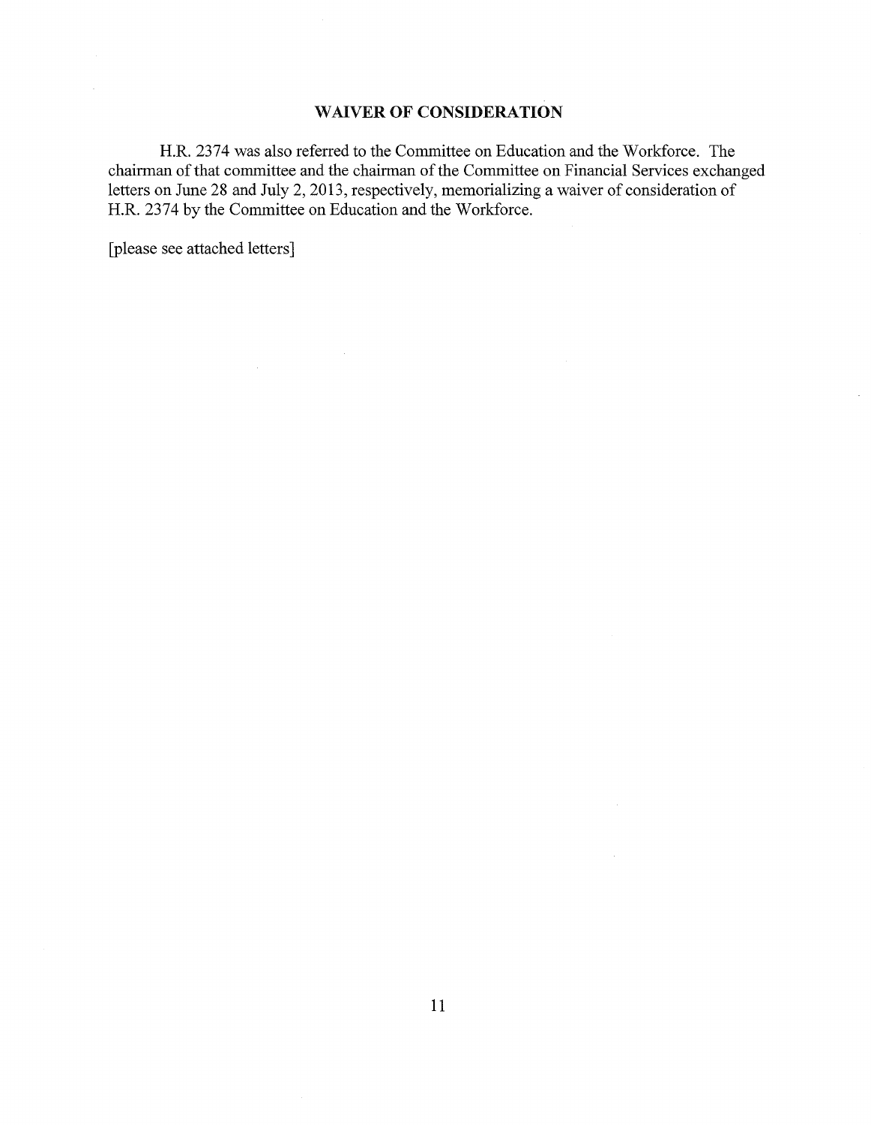# WAIVER OF CONSIDERATION

H.R. 2374 was also referred to the Committee on Education and the Workforce. The chairman of that committee and the chairman of the Committee on Financial Services exchanged letters on June 28 and July 2, 2013, respectively, memorializing a waiver of consideration of H.R. 2374 by the Committee on Education and the Workforce.

[please see attached letters]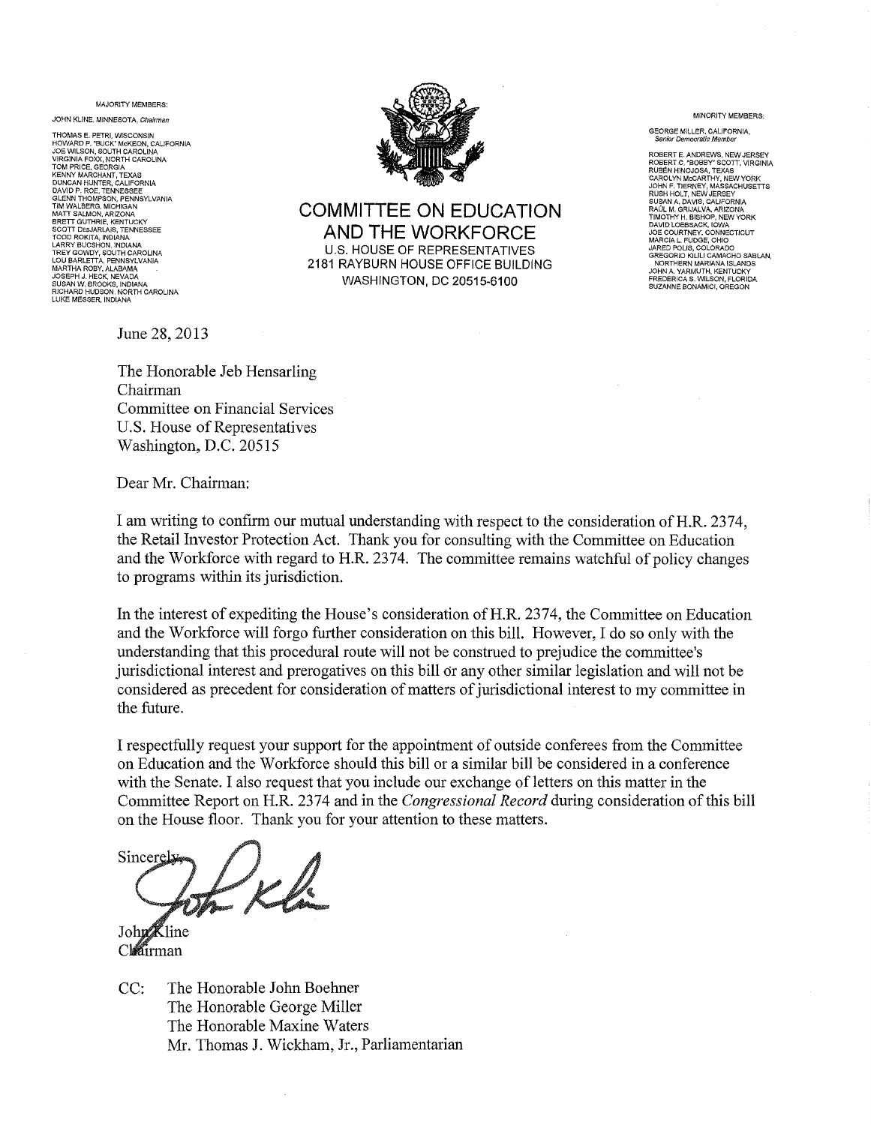MAJORITY MEMBERS:

JOHN KLINE, MINNESOTA, Chairman

THOMAS E. PETRI, WISCONSIN HOWARD P, "BUCK" McKEON, CALIFORNIA JOE WILSON, SOUTH CAROLINA VIRGINIA FOXX, NORTH CAROLINA TOM PRICE, GEORGIA KENNY MARCHANT, TEXAS<br>DUNCAN HUNTER, CALIFORNIA<br>DUNCAN HUNTER, CALIFORNIA<br>GLENN THOMPSON, PENNESSEE<br>TIM WALBERG, MICHIGAN<br>MATT SALMON, ARIZONA<br>BRETT QUTHRIE, KENTUCKY<br>TODD ROKITA, INDIANA<br>TODD ROKITA, INDIANA<br>LOU BARLETTA, MARTHA ROBY, ALABAMA<br>JOSEPH J. HECK, NEVADA<br>SUSAN W. BROOKS, INDIANA<br>RICHARD HUDSON, NORTH CAROLINA LUKE MESSER, INDIANA



COMMITTEE ON EDUCATION AND THE WORKFORCE U.S. HOUSE OF REPRESENTATIVES 2181 RAYBURN HOUSE OFFICE BUILDING WASHINGTON, DC 20515-6100

GEORGE MILLER, CALIFORNIA, Sellior Democratic Member

MINORITY MEMBERS:

ROBERT E. ANDREWS, NEW JERSEY ROBERT C, "BOBBY" SCOTT, VIRGINIA RUBEN HINOJOSA, TEXAS CAROLYN McCARTHY, NEW YORK JOHN F. TIERNEY, MASSACHUSETTS RUSH HOLT, NEW JEREEY<br>
RUSHAN A, DAVIS, CALIFORNIA<br>
TIMOTHY H, SRUAUVA, ARIZONA<br>
TIMOTHY H, BISHOP, NEW YORK<br>
DAVID LOBBSACK, IGWA<br>
JOB COURTNEY, CONNECTICUT<br>
MARCIA L, FUDGE, OHIO<br>
JOREODRIO INCLU CAMACHO SABLAN,<br>
NORTHER

June 28, 2013

The Honorable Jeb Hensarling Chairman Committee on Financial Services U.S. House of Representatives Washington, D.C. 20515

Dear Mr. Chairman:

I am writing to confirm our mutual understanding with respect to the consideration ofH.R. 2374, the Retail Investor Protection Act. Thank you for consulting with the Committee on Education and the Workforce with regard to H.R. 2374. The committee remains watchful of policy changes to programs within its jurisdiction.

In the interest of expediting the House's consideration ofH.R. 2374, the Committee on Education and the Workforce will forgo further consideration on this bill. However, I do so only with the understanding that this procedural route will not be construed to prejudice the committee's jurisdictional interest and prerogatives on this bill or any other similar legislation and will not be considered as precedent for consideration of matters of jurisdictional interest to my committee in the future.

I respectfully request your support for the appointment of outside conferees from the Committee on Education and the Workforce should this bill or a similar bill be considered in a conference with the Senate. I also request that you include our exchange of letters on this matter in the Committee Report on H.R. 2374 and in the *Congressional Record* during consideration of this bill on the House floor. Thank you for your attention to these matters.

Sincere

**Cline** John Clearman

CC: The Honorable John Boehner The Honorable George Miller The Honorable Maxine Waters Mr. Thomas J. Wickham, Jr., Parliamentarian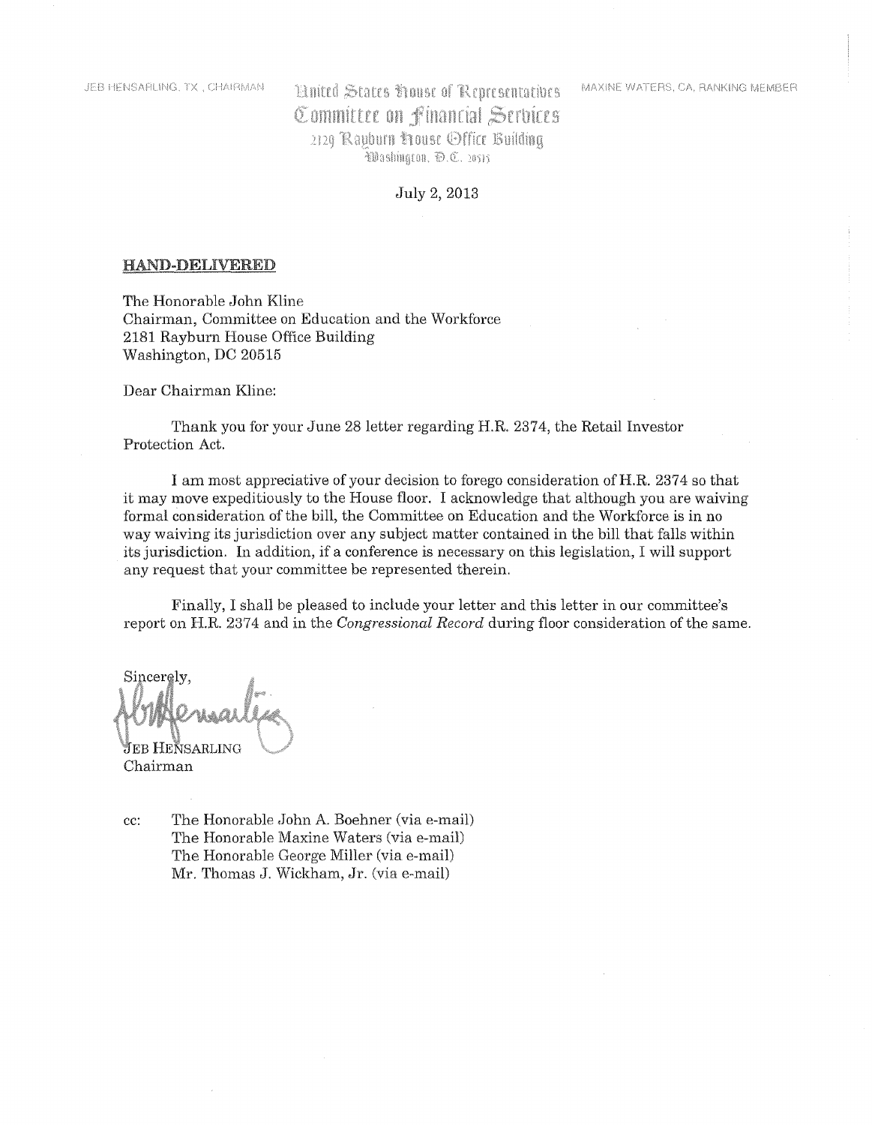MAXINE WATERS, CA. RANKING MEMBER

# **Huited States house of Representatives** Committee on Financial Services 2120 Rauburn Frouse Office Building Washington, D.C. 20515

July 2, 2013

#### HAND-DELIVERED

The Honorable John Kline Chairman, Committee on Education and the Workforce 2181 Rayburn House Office Building Washington, DC 20515

Dear Chairman K1ine:

Thank you for your June 28 letter regarding H.R. 2374, the Retail Investor Protection Act.

I am most appreciative of your decision to forego consideration ofH.R. 2374 so that it may move expeditiously to the House floor. I acknowledge that although you are waiving formal consideration of the bill, the Committee on Education and the Workforce is in no way waiving its jurisdiction over any subject matter contained in the bill that falls within its jurisdiction. In addition, if a conference is necessary on this legislation, I will support any request that your committee be represented therein.

Finally, I shall be pleased to include your letter and this letter in our committee's report on H.R. 2374 and in the *Congressional Record* during floor consideration of the same.

Sincerely. [eb Hensarling

Chairman

cc: The Honorable John A. Boehner (via e-mail) The Honorable Maxine Waters (via e-mail) The Honorable George Miller (via e-mail) Mr. Thomas J. Wickham, Jr. (via e-mail)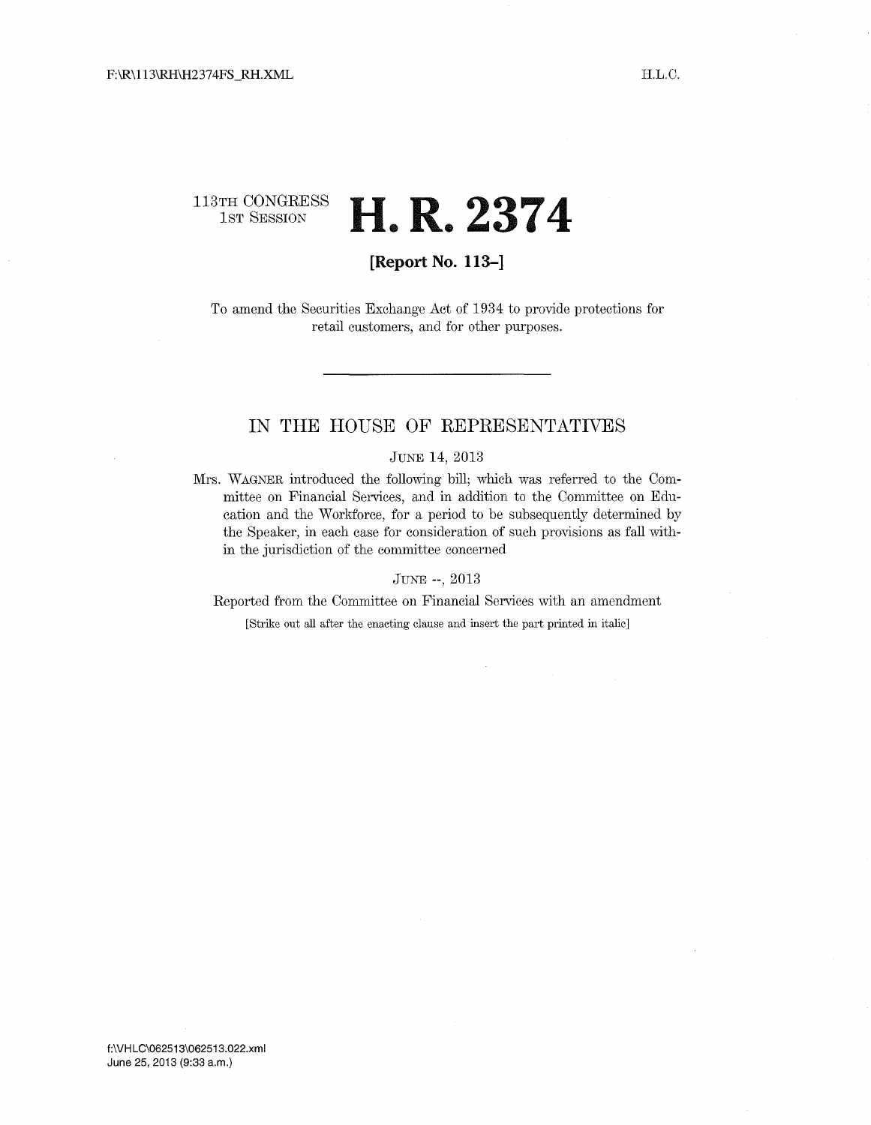# 113TH CONGRESS **H R 2374** • •

# **[Report No. 113-]**

To amend the Securities Exchange Act of 1934 to provide protections for retail customers, and for other purposes.

# **IN THE HOUSE OF REPRESENTATIVES**

### JUNE 14, 2013

Mrs. WAGNER introduced the following bill; which was referred to the Committee on Financial Services, and in addition to the Committee on Education and the Workforce, for a period to be subsequently determined by the Speaker, in each case for consideration of such provisions as fall within the jurisdiction of the committee concerned

JUNE --, 2013

Reported from the Committee on Financial Services with an amendment

[Strike out all after the enacting clause and insert the part printed in italic]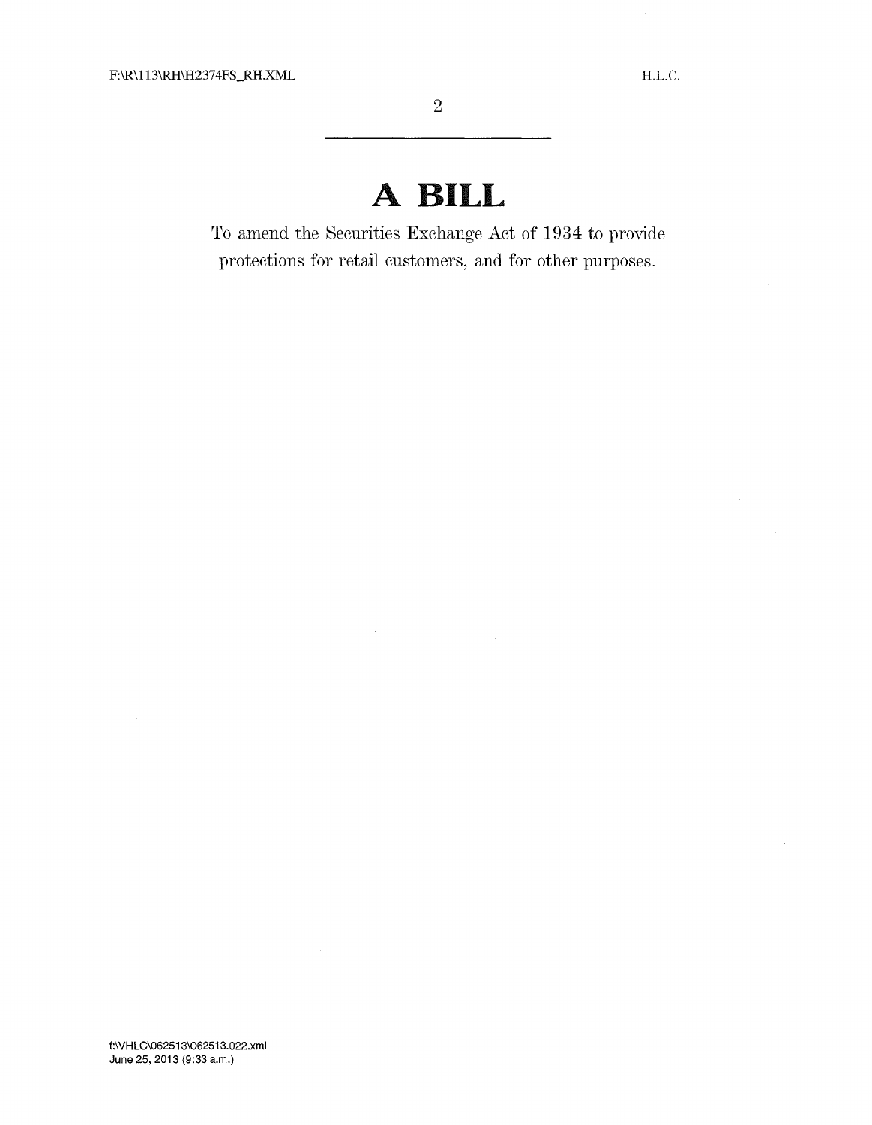# **A BILL**

To amend the Securities Exchange Act of 1934 to provide protections for retail customers, and for other purposes.

 $\mathcal{L}$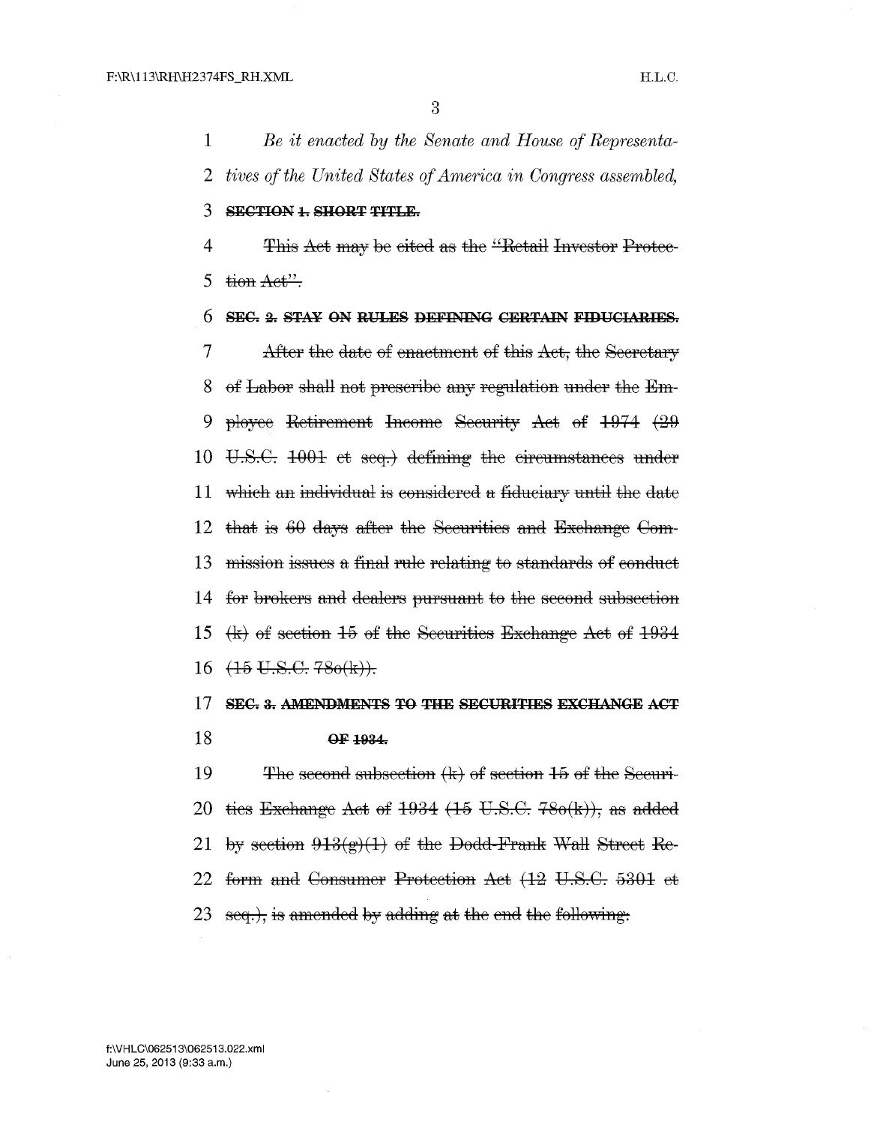1 *Be it enacted by the Senate and House of Representa-*2 *tives of the United States of America in Congress assembled)* 

# 3 SECTION 1. SHORT TITLE.

4 This Act may be eited as the "Retail Investor Protec-5 tion  $Aet'$ :

# 6 SEC. 2. STAY ON RULES DEFINING CERTAIN FIDUCIARIES.

7 After the date of enactment of this Act, the Secretary 8 of Labor shall not prescribe any regulation under the Em-9 ployee Retirement Income Security Aet of  $1974$   $(29)$ 10 U.S.C. 1001 et seq.) defining the circumstances under 11 which an individual is considered a fiduciary until the date 12 that is  $60$  days after the Securities and Exchange Com-13 mission issues a final rule relating to standards of conduct 14 for brokers and dealers pursuant to the second subsection 15  $\langle k \rangle$  of section 15 of the Securities Exchange Act of 1934  $16 \left(15 \text{ U.S.G. } 780 \text{ (k)}\right).$ 

### 17 SEC. 3. AMENDMENTS TO THE SECURITIES EXCHANGE ACT 18 OF 1934.

19 The second subsection  $(k)$  of section 15 of the Securi-20 ties Exchange Aet of  $1934$  (15 U.S.C. 78 $o(k)$ ), as added 21 by section  $913(g)(1)$  of the Dodd-Frank Wall Street Re-22 form and Consumer Protection Aet (12 U.S.C. 5301 et 23 seq.), is amended by adding at the end the following.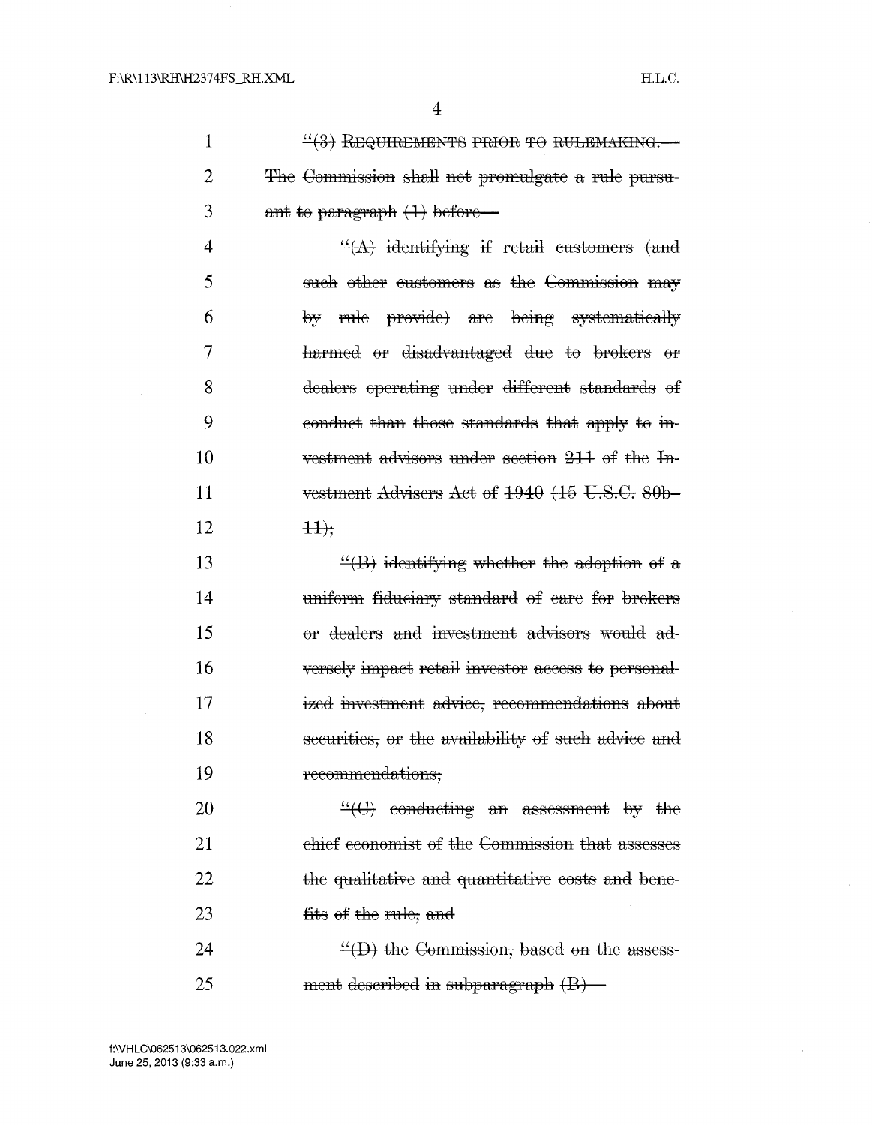4

 $1$  ...  $\frac{11}{1000}$  REQUIREMENTS PRIOR TO RULEMAKING. 2 <del>The Commission shall not promulgate</del> a rule pursu- $3 \t\t \text{ant to paragraph (1) before}$ 

4  $\frac{d}{dx}$  identifying if retail customers (and 5 such other customers as the Commission may 6 by rule provide) are being systematically 7 harmed or disadvantaged due to brokers or dealers operating under different standards of 8 9 conduct than those standards that apply to in-10 vestment advisors under section  $211$  of the In-11 vestment Advisers Aet of  $1940$   $(15 \text{ U.S.C. }80b-$ 12  $++$ 

13 14 15 16 17 18 19  $\frac{H}{B}$  identifying whether the adoption of a uniform fiduciary standard of eare for brokers or dealers and investment advisors would adversely impact retail investor access to personalized investment advice, recommendations about securities, or the availability of such advice and recommendations;

20  $\frac{W}{C}$  conducting an assessment by the 21 ehief economist of the Commission that assesses 22 the qualitative and quantitative costs and bene-23 fits of the rule; and

24 25  $\frac{H}{L}(D)$  the Commission, based on the assessment described in subparagraph  $(B)$ —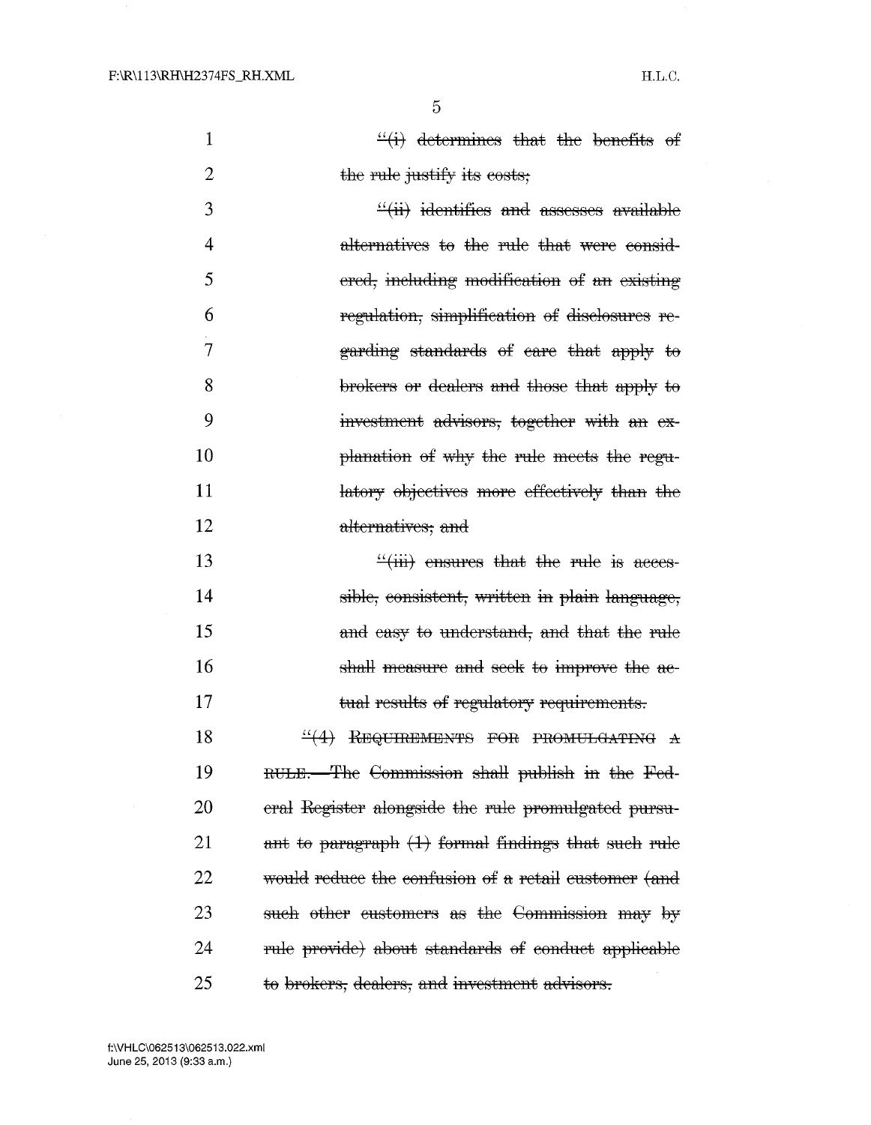1

2

5

| $\frac{d}{dx}$ determines that the benefits of |  |  |
|------------------------------------------------|--|--|
| the rule justify its costs;                    |  |  |

3 4 5 6 7 8 9 10 11 12  $\frac{1}{11}$  identifies and assesses available alternatives to the rule that were considered, including modification of an existing regulation, simplification of disclosures regarding standards of eare that apply to brokers or dealers and those that apply to investment advisors, together with an explanation of why the rule meets the regulatory objectives more effectively than the alternatives, and

13 14 15 16 17  $\frac{u}{\sin}$  ensures that the rule is accessible, consistent, written in plain language, and easy to understand, and that the rule shall measure and seek to improve the aetual results of regulatory requirements.

18  $^{4}(4)$  Requirements for promuldating  $A$ 19 RULE. The Commission shall publish in the Fed-20 eral Register alongside the rule promulgated pursu-21 ant to paragraph  $(1)$  formal findings that such rule  $22$  would reduce the confusion of a retail customer (and  $23$  sueh other customers as the Commission may by 24 rule provide) about standards of conduct applicable 25 to brokers, dealers, and investment advisors.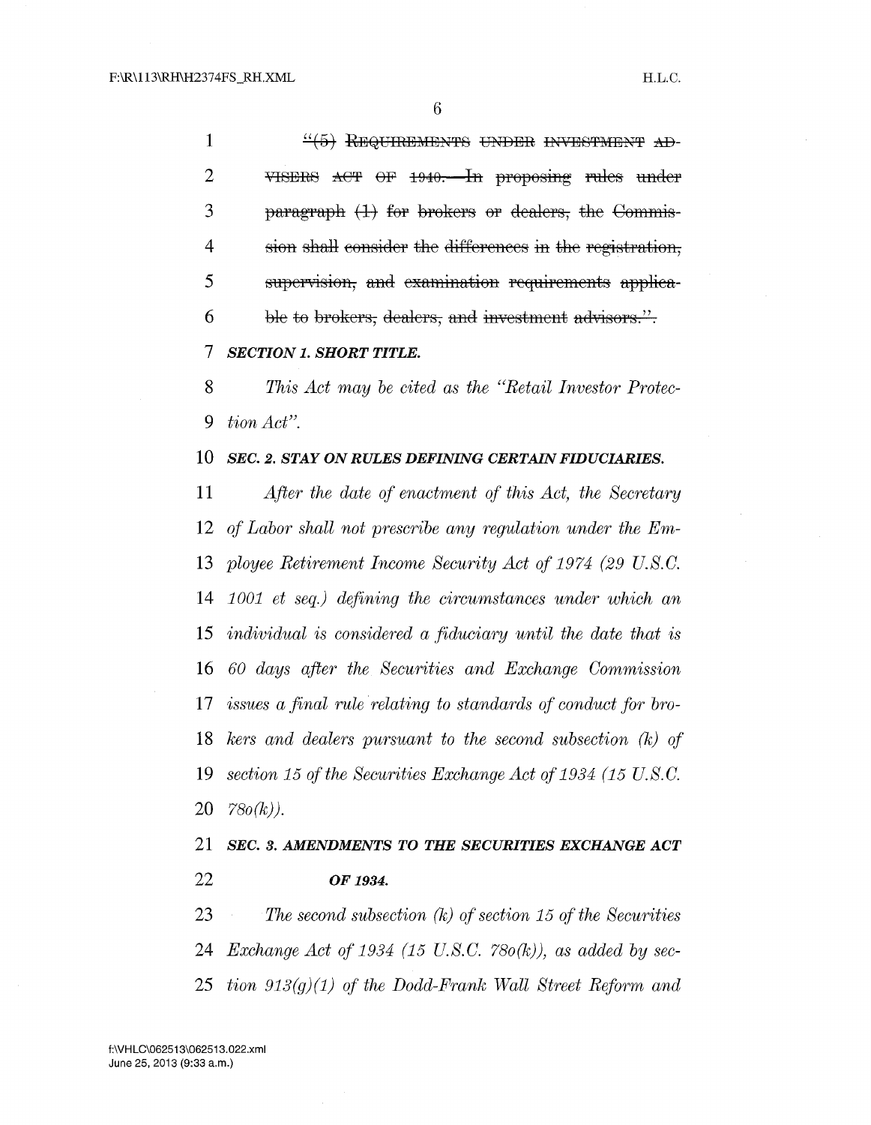1 .!.!.f§-t RE3QUIRE3ME3~fl'S UHDE3R IN'ilE3STME3HT :1'\:B- VISERS ACT OF 1940. In proposing rules under paragraph  $(1)$  for brokers or dealers, the Commis-4 sion shall consider the differences in the registration, 5 supervision, and examination requirements applica-6 ble to brokers, dealers, and investment advisors.".

*SECTION 1. SHORT TITLE.* 

*This Act may be cited as the ''Retail Investor Protec-tion Acf'.* 

# *SEC. 2. STAY ON RULES DEFINING CERTAIN FIDUCIARIES.*

*After the date of enactment of this Act, the Secretary of Labor shall not prescribe any regulation under the Em-ployee Retirement Income Security Act of 1974 (29 U.S. C. 1001 et seq.) defining the circumstances under which an individual is considered a fiduciary until the date that is 60 days after the Securities and Exchange Commission issues a final rule relating to standards of conduct for bro-kers and dealers pursuant to the second subsection (k) of section 15 of the Securities Exchange Act of 1934 (15 U.S. C. 78o(k)).* 

*SEC. 3. AMENDMENTS TO THE SECURITIES EXCHANGE ACT OF 1934.* 

*The second subsection (k) of section 15 of the Securities Exchange Act of 1934 (15 U.S.C. 780(k))*, as added by sec-*tion 913(g)(1) of the Dodd-Frank Wall Street Reform and*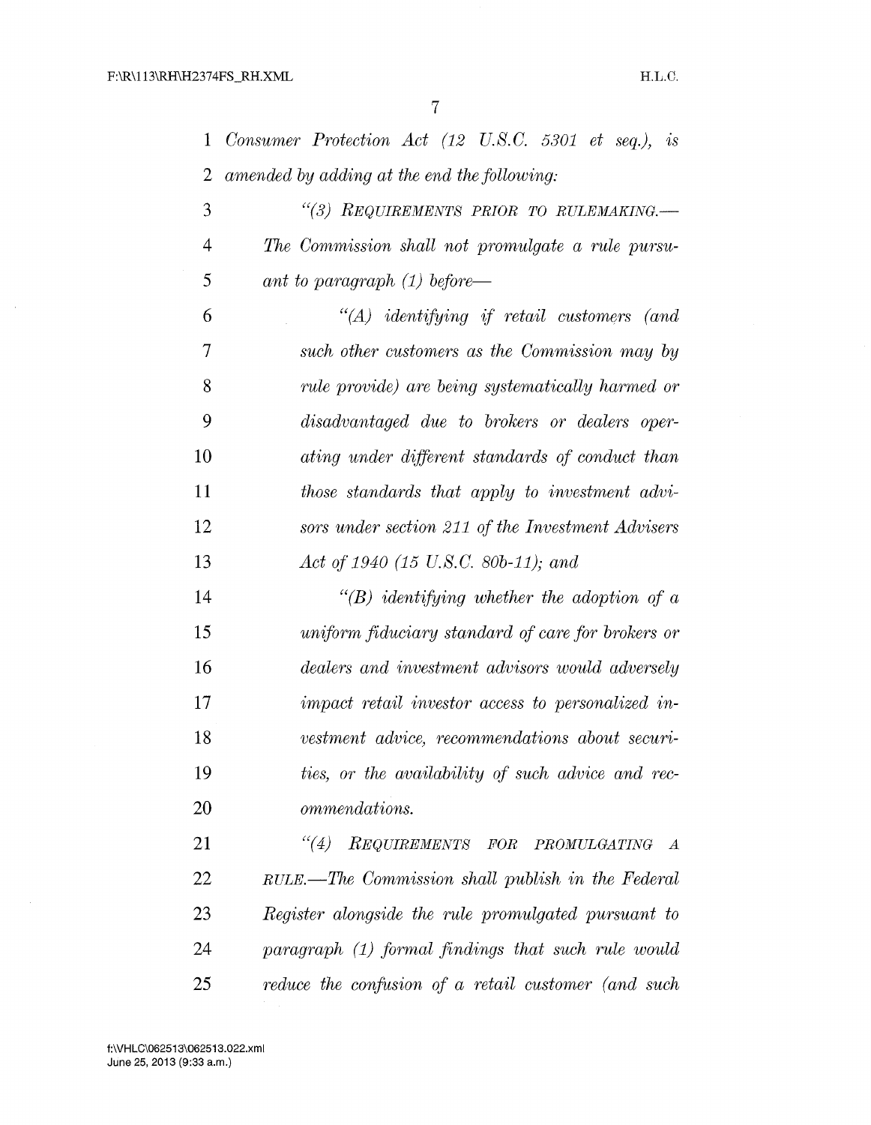$\bar{u}$ 

 $\sim$ 

| $\mathbf{1}$   | Consumer Protection Act $(12 \text{ U.S.C. } 5301 \text{ et seq.}),$ is |
|----------------|-------------------------------------------------------------------------|
| $\overline{2}$ | amended by adding at the end the following:                             |
| 3              | "(3) REQUIREMENTS PRIOR TO RULEMAKING.-                                 |
| 4              | The Commission shall not promulgate a rule pursu-                       |
| 5              | ant to paragraph $(1)$ before—                                          |
| 6              | $\lq\lq (A)$ identifying if retail customers (and                       |
| $\overline{7}$ | such other customers as the Commission may by                           |
| 8              | rule provide) are being systematically harmed or                        |
| 9              | disadvantaged due to brokers or dealers oper-                           |
| 10             | ating under different standards of conduct than                         |
| 11             | those standards that apply to investment advi-                          |
| 12             | sors under section 211 of the Investment Advisers                       |
| 13             | Act of 1940 (15 U.S.C. 80b-11); and                                     |
| 14             | $\lq\lq(B)$ identifying whether the adoption of a                       |
| 15             | uniform fiduciary standard of care for brokers or                       |
| 16             | dealers and investment advisors would adversely                         |
| 17             | impact retail investor access to personalized in-                       |
| 18             | vestment advice, recommendations about securi-                          |
| 19             | ties, or the availability of such advice and rec-                       |
| 20             | ommendations.                                                           |
| 21             | REQUIREMENTS FOR PROMULGATING<br>(4)<br>$\overline{A}$                  |
| 22             | RULE.—The Commission shall publish in the Federal                       |
| 23             | Register alongside the rule promulgated pursuant to                     |
| 24             | paragraph (1) formal findings that such rule would                      |
| 25             | reduce the confusion of a retail customer (and such                     |